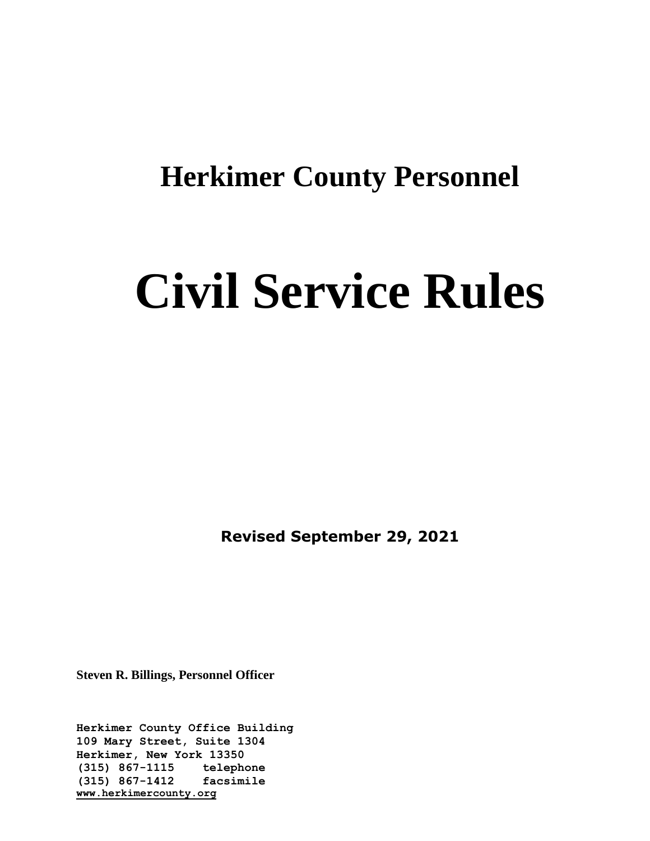## **Herkimer County Personnel**

# **Civil Service Rules**

**Revised September 29, 2021**

**Steven R. Billings, Personnel Officer**

**Herkimer County Office Building 109 Mary Street, Suite 1304 Herkimer, New York 13350 (315) 867-1115 telephone (315) 867-1412 facsimile [www.herkimercounty.org](http://www.herkimercounty.org/)**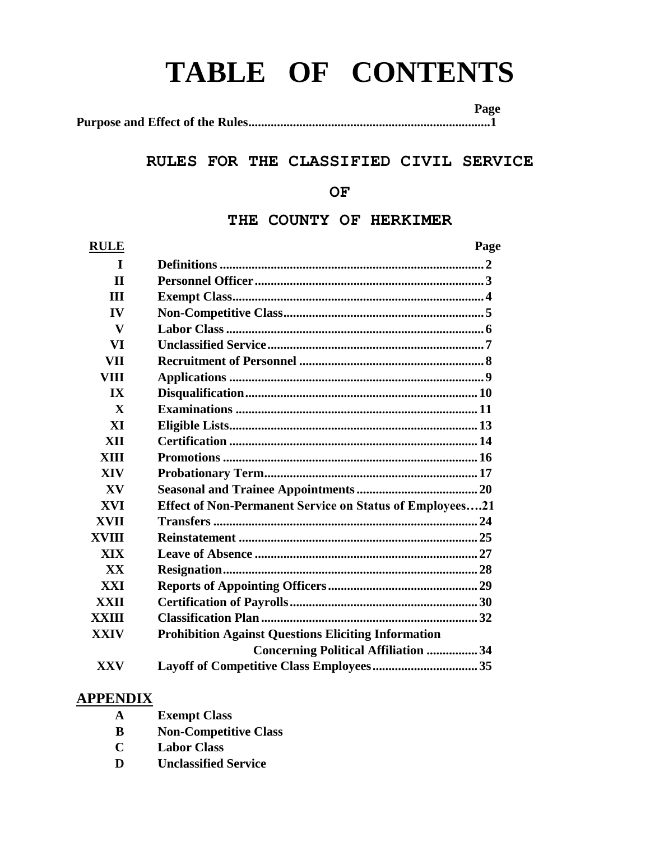## **TABLE OF CONTENTS**

 **Page Purpose and Effect of the Rules............................................................................1**

## **RULES FOR THE CLASSIFIED CIVIL SERVICE**

## **OF**

## **THE COUNTY OF HERKIMER**

| <b>RULE</b>             | Page                                                       |
|-------------------------|------------------------------------------------------------|
| T                       |                                                            |
| $\mathbf{I}$            |                                                            |
| <b>III</b>              |                                                            |
| IV                      |                                                            |
| V                       |                                                            |
| VI                      |                                                            |
| VII                     |                                                            |
| <b>VIII</b>             |                                                            |
| $\mathbf{I} \mathbf{X}$ |                                                            |
| $\mathbf{X}$            |                                                            |
| XI                      |                                                            |
| XII                     |                                                            |
| XIII                    |                                                            |
| <b>XIV</b>              |                                                            |
| XV                      |                                                            |
| XVI                     | Effect of Non-Permanent Service on Status of Employees21   |
| <b>XVII</b>             |                                                            |
| XVIII                   |                                                            |
| XIX                     |                                                            |
| <b>XX</b>               |                                                            |
| XXI                     |                                                            |
| XXII                    |                                                            |
| <b>XXIII</b>            |                                                            |
| <b>XXIV</b>             | <b>Prohibition Against Questions Eliciting Information</b> |
|                         | <b>Concerning Political Affiliation  34</b>                |
| <b>XXV</b>              |                                                            |

## **APPENDIX**

- **A Exempt Class**
- **B Non-Competitive Class**
- **C Labor Class**
- **D Unclassified Service**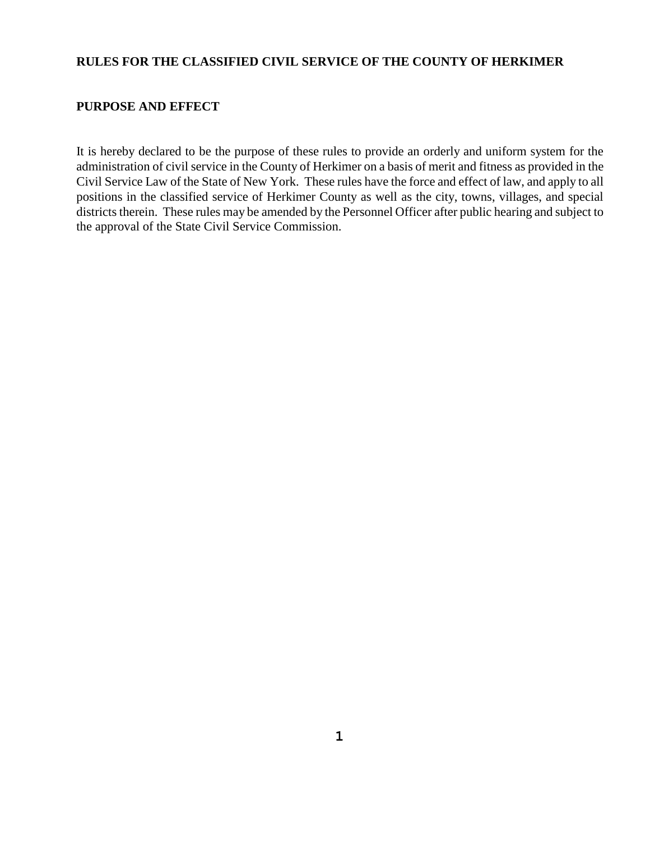## **RULES FOR THE CLASSIFIED CIVIL SERVICE OF THE COUNTY OF HERKIMER**

## **PURPOSE AND EFFECT**

It is hereby declared to be the purpose of these rules to provide an orderly and uniform system for the administration of civil service in the County of Herkimer on a basis of merit and fitness as provided in the Civil Service Law of the State of New York. These rules have the force and effect of law, and apply to all positions in the classified service of Herkimer County as well as the city, towns, villages, and special districts therein. These rules may be amended by the Personnel Officer after public hearing and subject to the approval of the State Civil Service Commission.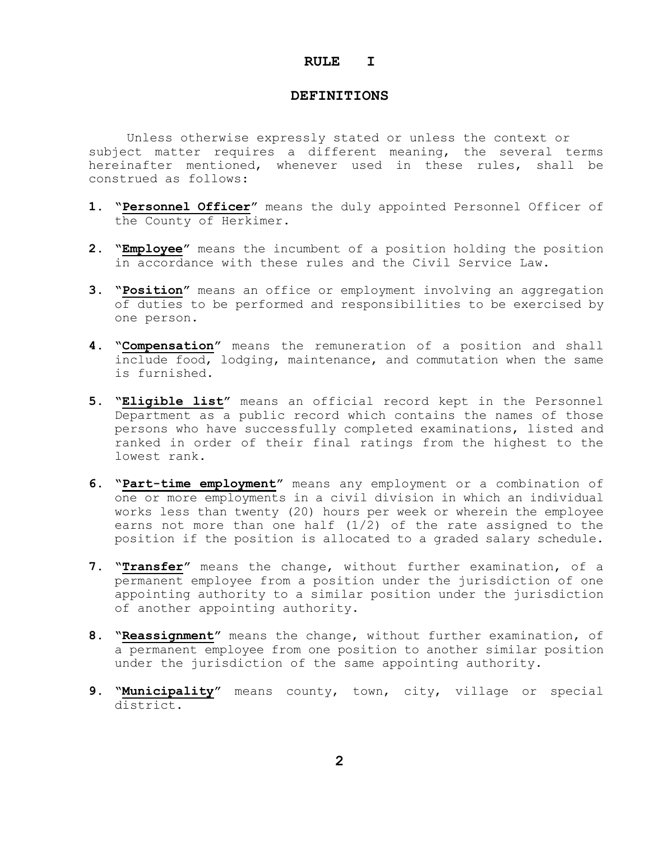#### **RULE I**

#### **DEFINITIONS**

Unless otherwise expressly stated or unless the context or subject matter requires a different meaning, the several terms hereinafter mentioned, whenever used in these rules, shall be construed as follows:

- **1. "Personnel Officer"** means the duly appointed Personnel Officer of the County of Herkimer.
- **2. "Employee"** means the incumbent of a position holding the position in accordance with these rules and the Civil Service Law.
- **3. "Position"** means an office or employment involving an aggregation of duties to be performed and responsibilities to be exercised by one person.
- **4. "Compensation"** means the remuneration of a position and shall include food, lodging, maintenance, and commutation when the same is furnished.
- **5. "Eligible list"** means an official record kept in the Personnel Department as a public record which contains the names of those persons who have successfully completed examinations, listed and ranked in order of their final ratings from the highest to the lowest rank.
- **6. "Part-time employment"** means any employment or a combination of one or more employments in a civil division in which an individual works less than twenty (20) hours per week or wherein the employee earns not more than one half (1/2) of the rate assigned to the position if the position is allocated to a graded salary schedule.
- **7. "Transfer"** means the change, without further examination, of a permanent employee from a position under the jurisdiction of one appointing authority to a similar position under the jurisdiction of another appointing authority.
- **8. "Reassignment"** means the change, without further examination, of a permanent employee from one position to another similar position under the jurisdiction of the same appointing authority.
- **9. "Municipality"** means county, town, city, village or special district.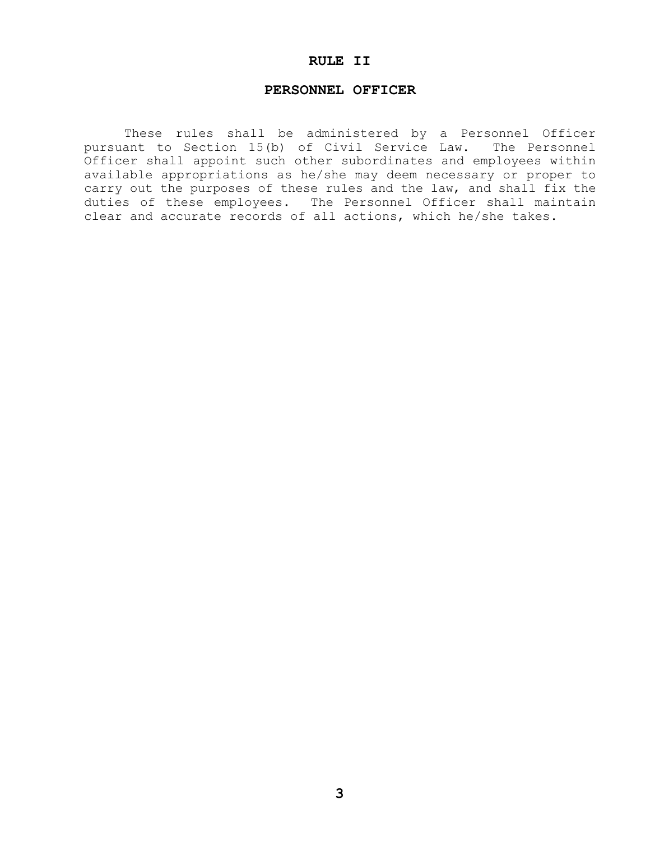## **RULE II**

#### **PERSONNEL OFFICER**

These rules shall be administered by a Personnel Officer pursuant to Section 15(b) of Civil Service Law. The Personnel Officer shall appoint such other subordinates and employees within available appropriations as he/she may deem necessary or proper to carry out the purposes of these rules and the law, and shall fix the duties of these employees. The Personnel Officer shall maintain clear and accurate records of all actions, which he/she takes.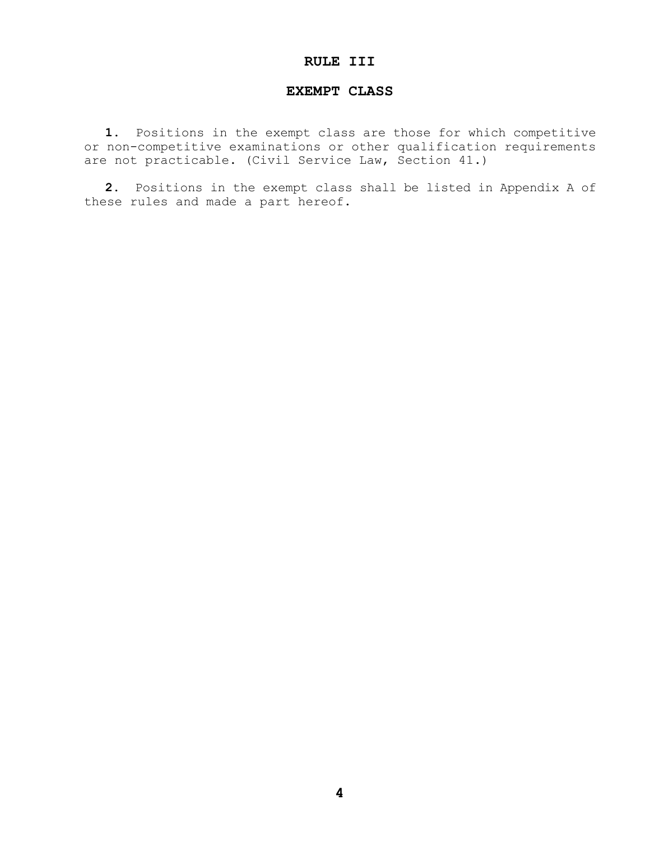## **RULE III**

#### **EXEMPT CLASS**

**1.** Positions in the exempt class are those for which competitive or non-competitive examinations or other qualification requirements are not practicable. (Civil Service Law, Section 41.)

**2.** Positions in the exempt class shall be listed in Appendix A of these rules and made a part hereof.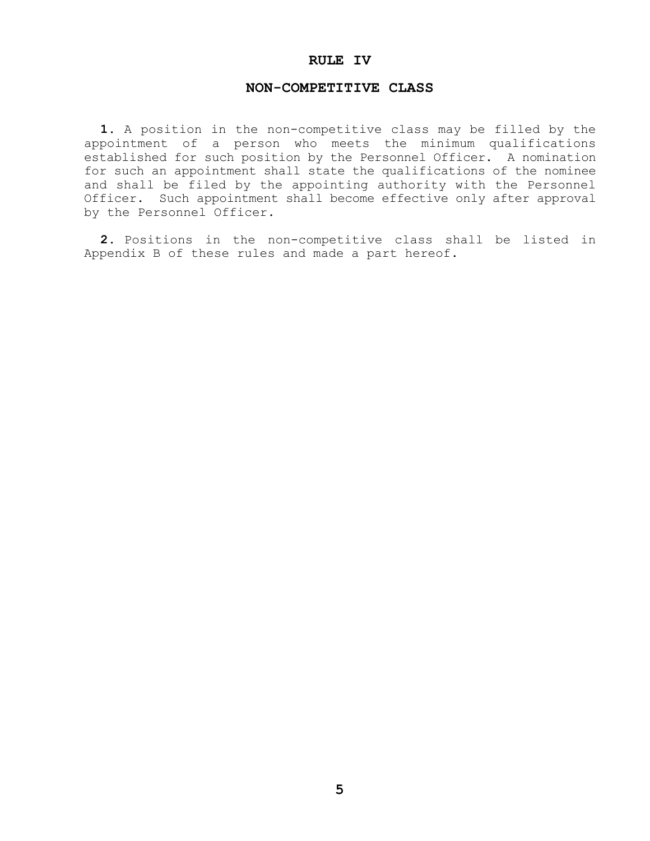#### **RULE IV**

#### **NON-COMPETITIVE CLASS**

**1.** A position in the non-competitive class may be filled by the appointment of a person who meets the minimum qualifications established for such position by the Personnel Officer. A nomination for such an appointment shall state the qualifications of the nominee and shall be filed by the appointing authority with the Personnel Officer. Such appointment shall become effective only after approval by the Personnel Officer.

**2.** Positions in the non-competitive class shall be listed in Appendix B of these rules and made a part hereof.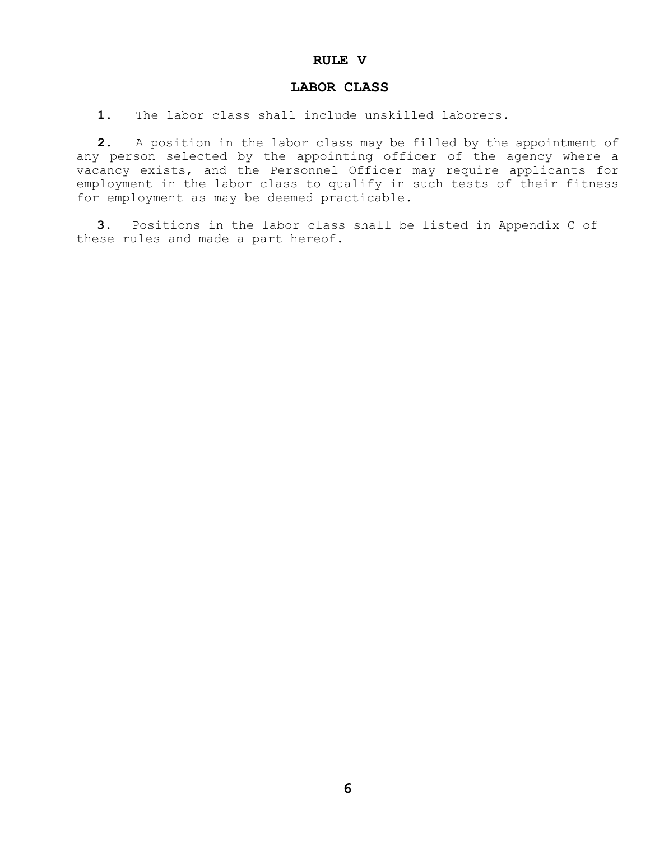#### **RULE V**

#### **LABOR CLASS**

**1.** The labor class shall include unskilled laborers.

**2.** A position in the labor class may be filled by the appointment of any person selected by the appointing officer of the agency where a vacancy exists, and the Personnel Officer may require applicants for employment in the labor class to qualify in such tests of their fitness for employment as may be deemed practicable.

**3.** Positions in the labor class shall be listed in Appendix C of these rules and made a part hereof.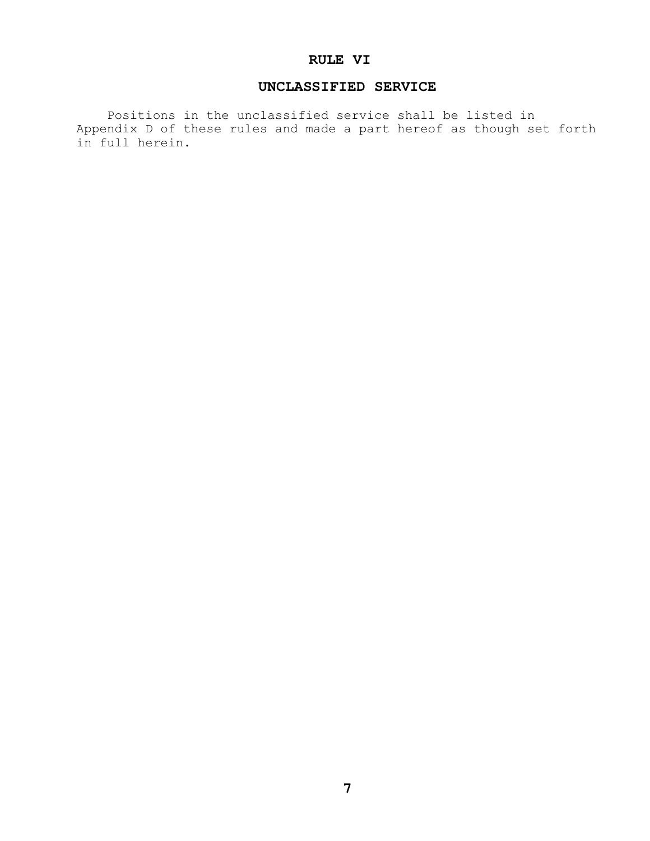## **RULE VI**

## **UNCLASSIFIED SERVICE**

 Positions in the unclassified service shall be listed in Appendix D of these rules and made a part hereof as though set forth in full herein.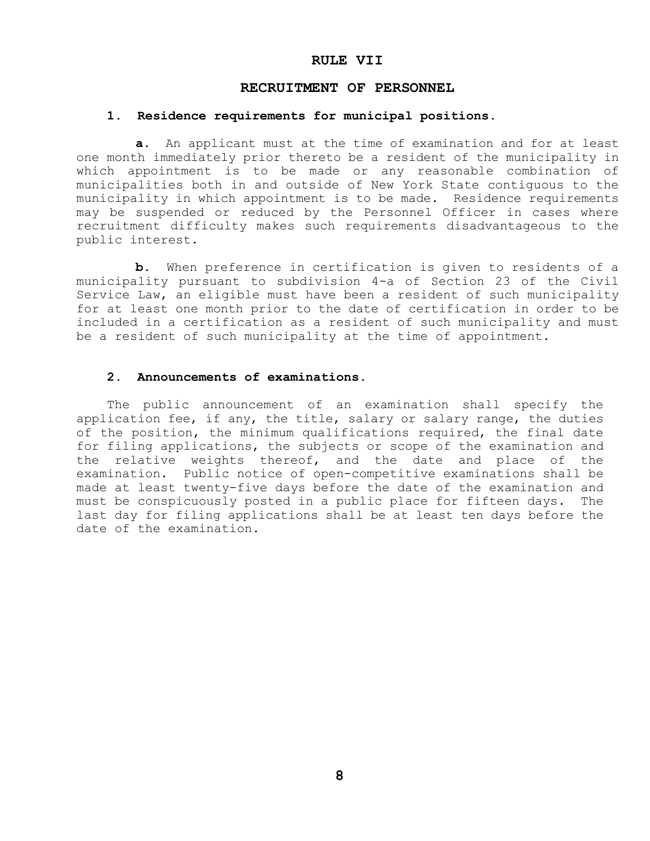#### **RULE VII**

#### **RECRUITMENT OF PERSONNEL**

#### **1. Residence requirements for municipal positions.**

**a.** An applicant must at the time of examination and for at least one month immediately prior thereto be a resident of the municipality in which appointment is to be made or any reasonable combination of municipalities both in and outside of New York State contiguous to the municipality in which appointment is to be made. Residence requirements may be suspended or reduced by the Personnel Officer in cases where recruitment difficulty makes such requirements disadvantageous to the public interest.

 **b.** When preference in certification is given to residents of a municipality pursuant to subdivision 4-a of Section 23 of the Civil Service Law, an eligible must have been a resident of such municipality for at least one month prior to the date of certification in order to be included in a certification as a resident of such municipality and must be a resident of such municipality at the time of appointment.

#### **2. Announcements of examinations.**

 The public announcement of an examination shall specify the application fee, if any, the title, salary or salary range, the duties of the position, the minimum qualifications required, the final date for filing applications, the subjects or scope of the examination and the relative weights thereof, and the date and place of the examination. Public notice of open-competitive examinations shall be made at least twenty-five days before the date of the examination and must be conspicuously posted in a public place for fifteen days. The last day for filing applications shall be at least ten days before the date of the examination.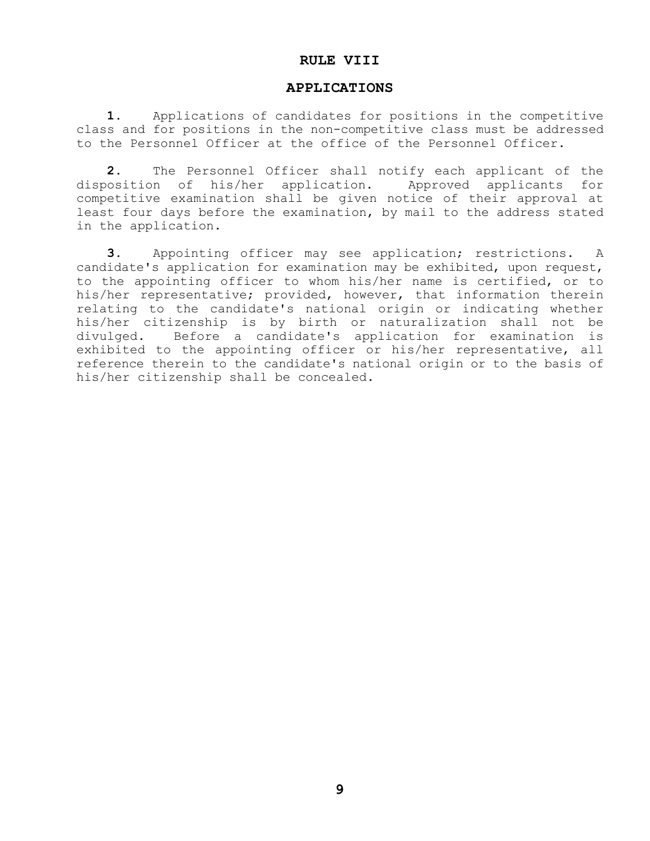#### **RULE VIII**

#### **APPLICATIONS**

 **1.** Applications of candidates for positions in the competitive class and for positions in the non-competitive class must be addressed to the Personnel Officer at the office of the Personnel Officer.

 **2.** The Personnel Officer shall notify each applicant of the disposition of his/her application. Approved applicants for competitive examination shall be given notice of their approval at least four days before the examination, by mail to the address stated in the application.

**3.** Appointing officer may see application; restrictions. A candidate's application for examination may be exhibited, upon request, to the appointing officer to whom his/her name is certified, or to his/her representative; provided, however, that information therein relating to the candidate's national origin or indicating whether his/her citizenship is by birth or naturalization shall not be divulged. Before a candidate's application for examination is exhibited to the appointing officer or his/her representative, all reference therein to the candidate's national origin or to the basis of his/her citizenship shall be concealed.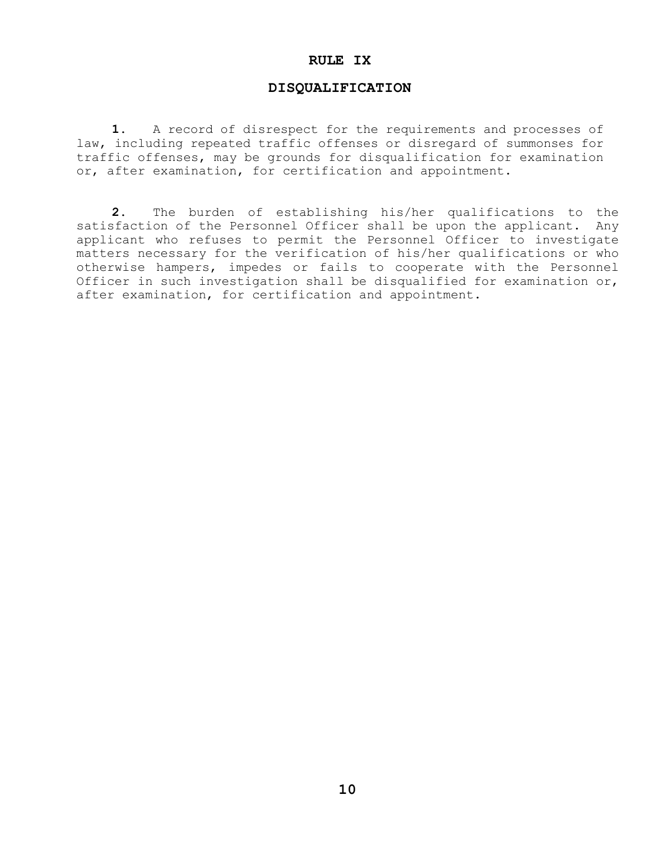#### **RULE IX**

#### **DISQUALIFICATION**

**1.** A record of disrespect for the requirements and processes of law, including repeated traffic offenses or disregard of summonses for traffic offenses, may be grounds for disqualification for examination or, after examination, for certification and appointment.

**2.** The burden of establishing his/her qualifications to the satisfaction of the Personnel Officer shall be upon the applicant. Any applicant who refuses to permit the Personnel Officer to investigate matters necessary for the verification of his/her qualifications or who otherwise hampers, impedes or fails to cooperate with the Personnel Officer in such investigation shall be disqualified for examination or, after examination, for certification and appointment.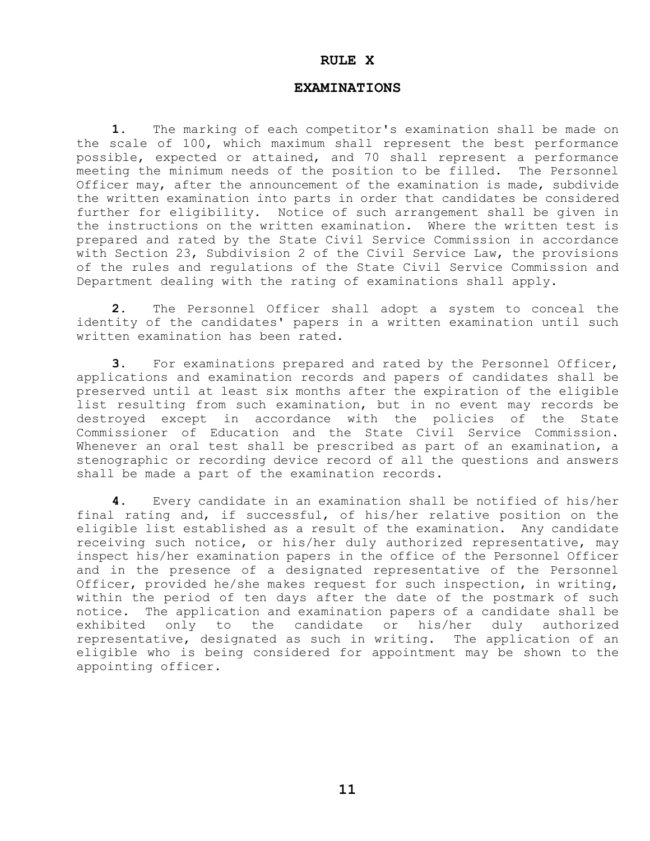#### **RULE X**

#### **EXAMINATIONS**

**1.** The marking of each competitor's examination shall be made on the scale of 100, which maximum shall represent the best performance possible, expected or attained, and 70 shall represent a performance meeting the minimum needs of the position to be filled. The Personnel Officer may, after the announcement of the examination is made, subdivide the written examination into parts in order that candidates be considered further for eligibility. Notice of such arrangement shall be given in the instructions on the written examination. Where the written test is prepared and rated by the State Civil Service Commission in accordance with Section 23, Subdivision 2 of the Civil Service Law, the provisions of the rules and regulations of the State Civil Service Commission and Department dealing with the rating of examinations shall apply.

**2.** The Personnel Officer shall adopt a system to conceal the identity of the candidates' papers in a written examination until such written examination has been rated.

**3.** For examinations prepared and rated by the Personnel Officer, applications and examination records and papers of candidates shall be preserved until at least six months after the expiration of the eligible list resulting from such examination, but in no event may records be destroyed except in accordance with the policies of the State Commissioner of Education and the State Civil Service Commission. Whenever an oral test shall be prescribed as part of an examination, a stenographic or recording device record of all the questions and answers shall be made a part of the examination records.

**4.** Every candidate in an examination shall be notified of his/her final rating and, if successful, of his/her relative position on the eligible list established as a result of the examination. Any candidate receiving such notice, or his/her duly authorized representative, may inspect his/her examination papers in the office of the Personnel Officer and in the presence of a designated representative of the Personnel Officer, provided he/she makes request for such inspection, in writing, within the period of ten days after the date of the postmark of such notice. The application and examination papers of a candidate shall be exhibited only to the candidate or his/her duly authorized representative, designated as such in writing. The application of an eligible who is being considered for appointment may be shown to the appointing officer.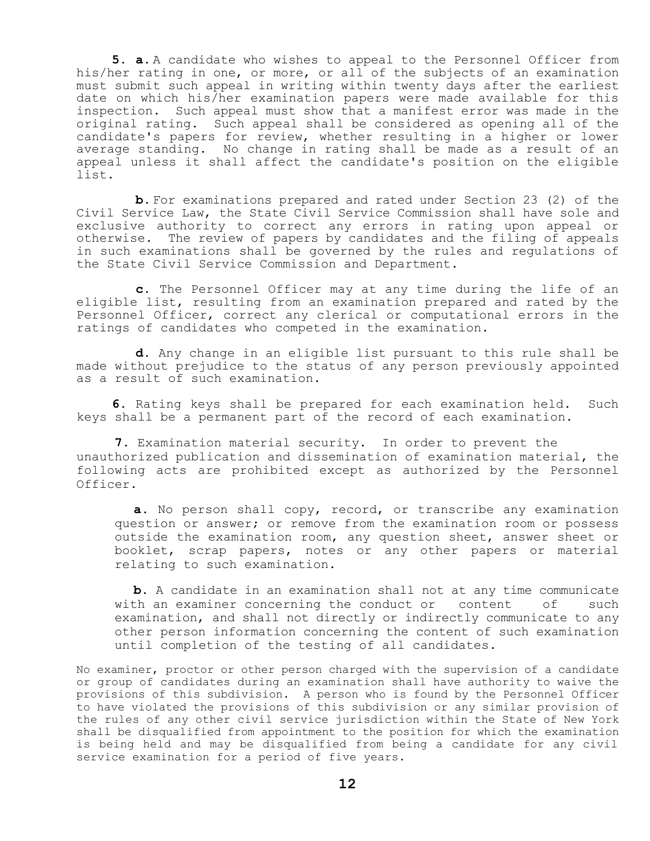**5. a.** A candidate who wishes to appeal to the Personnel Officer from his/her rating in one, or more, or all of the subjects of an examination must submit such appeal in writing within twenty days after the earliest date on which his/her examination papers were made available for this inspection. Such appeal must show that a manifest error was made in the original rating. Such appeal shall be considered as opening all of the candidate's papers for review, whether resulting in a higher or lower average standing. No change in rating shall be made as a result of an appeal unless it shall affect the candidate's position on the eligible list.

**b.** For examinations prepared and rated under Section 23 (2) of the Civil Service Law, the State Civil Service Commission shall have sole and exclusive authority to correct any errors in rating upon appeal or otherwise. The review of papers by candidates and the filing of appeals in such examinations shall be governed by the rules and regulations of the State Civil Service Commission and Department.

**c.** The Personnel Officer may at any time during the life of an eligible list, resulting from an examination prepared and rated by the Personnel Officer, correct any clerical or computational errors in the ratings of candidates who competed in the examination.

**d.** Any change in an eligible list pursuant to this rule shall be made without prejudice to the status of any person previously appointed as a result of such examination.

**6.** Rating keys shall be prepared for each examination held. Such keys shall be a permanent part of the record of each examination.

**7.** Examination material security. In order to prevent the unauthorized publication and dissemination of examination material, the following acts are prohibited except as authorized by the Personnel Officer.

**a.** No person shall copy, record, or transcribe any examination question or answer; or remove from the examination room or possess outside the examination room, any question sheet, answer sheet or booklet, scrap papers, notes or any other papers or material relating to such examination.

**b.** A candidate in an examination shall not at any time communicate with an examiner concerning the conduct or content of such examination, and shall not directly or indirectly communicate to any other person information concerning the content of such examination until completion of the testing of all candidates.

No examiner, proctor or other person charged with the supervision of a candidate or group of candidates during an examination shall have authority to waive the provisions of this subdivision. A person who is found by the Personnel Officer to have violated the provisions of this subdivision or any similar provision of the rules of any other civil service jurisdiction within the State of New York shall be disqualified from appointment to the position for which the examination is being held and may be disqualified from being a candidate for any civil service examination for a period of five years.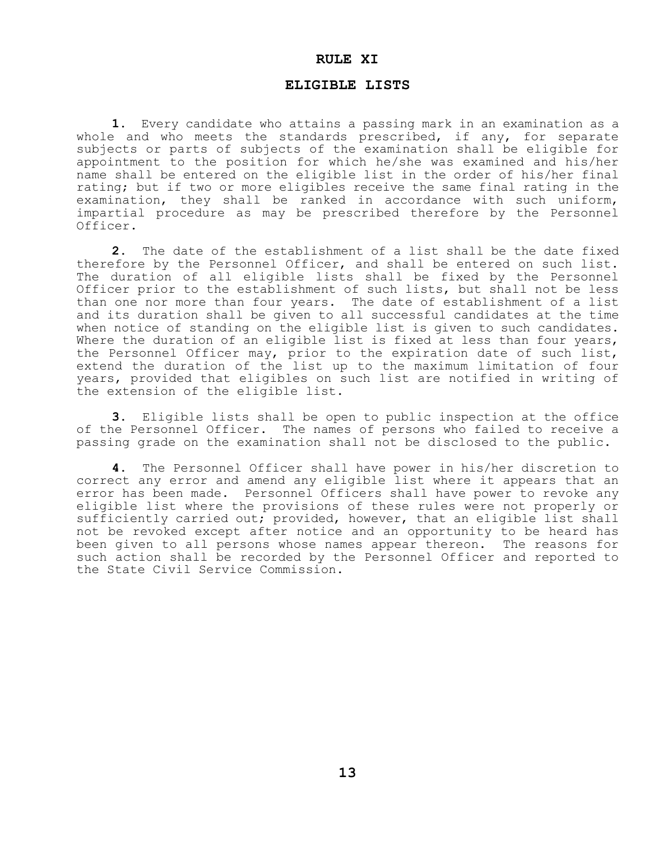#### **RULE XI**

#### **ELIGIBLE LISTS**

**1.** Every candidate who attains a passing mark in an examination as a whole and who meets the standards prescribed, if any, for separate subjects or parts of subjects of the examination shall be eligible for appointment to the position for which he/she was examined and his/her name shall be entered on the eligible list in the order of his/her final rating; but if two or more eligibles receive the same final rating in the examination, they shall be ranked in accordance with such uniform, impartial procedure as may be prescribed therefore by the Personnel Officer.

 **2.** The date of the establishment of a list shall be the date fixed therefore by the Personnel Officer, and shall be entered on such list. The duration of all eligible lists shall be fixed by the Personnel Officer prior to the establishment of such lists, but shall not be less than one nor more than four years. The date of establishment of a list and its duration shall be given to all successful candidates at the time when notice of standing on the eligible list is given to such candidates. Where the duration of an eligible list is fixed at less than four years, the Personnel Officer may, prior to the expiration date of such list, extend the duration of the list up to the maximum limitation of four years, provided that eligibles on such list are notified in writing of the extension of the eligible list.

**3.** Eligible lists shall be open to public inspection at the office of the Personnel Officer. The names of persons who failed to receive a passing grade on the examination shall not be disclosed to the public.

**4.** The Personnel Officer shall have power in his/her discretion to correct any error and amend any eligible list where it appears that an error has been made. Personnel Officers shall have power to revoke any eligible list where the provisions of these rules were not properly or sufficiently carried out; provided, however, that an eligible list shall not be revoked except after notice and an opportunity to be heard has been given to all persons whose names appear thereon. The reasons for such action shall be recorded by the Personnel Officer and reported to the State Civil Service Commission.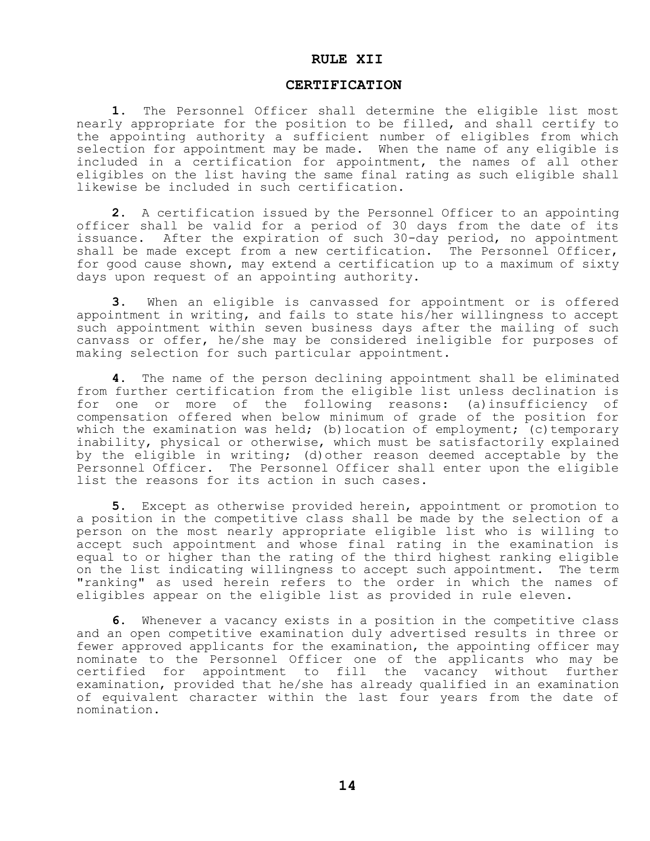#### **RULE XII**

#### **CERTIFICATION**

**1.** The Personnel Officer shall determine the eligible list most nearly appropriate for the position to be filled, and shall certify to the appointing authority a sufficient number of eligibles from which selection for appointment may be made. When the name of any eligible is included in a certification for appointment, the names of all other eligibles on the list having the same final rating as such eligible shall likewise be included in such certification.

**2.** A certification issued by the Personnel Officer to an appointing officer shall be valid for a period of 30 days from the date of its issuance. After the expiration of such 30-day period, no appointment shall be made except from a new certification. The Personnel Officer, for good cause shown, may extend a certification up to a maximum of sixty days upon request of an appointing authority.

**3.** When an eligible is canvassed for appointment or is offered appointment in writing, and fails to state his/her willingness to accept such appointment within seven business days after the mailing of such canvass or offer, he/she may be considered ineligible for purposes of making selection for such particular appointment.

**4.** The name of the person declining appointment shall be eliminated from further certification from the eligible list unless declination is for one or more of the following reasons: (a)insufficiency of compensation offered when below minimum of grade of the position for which the examination was held; (b) location of employment; (c) temporary inability, physical or otherwise, which must be satisfactorily explained by the eligible in writing; (d)other reason deemed acceptable by the Personnel Officer. The Personnel Officer shall enter upon the eligible list the reasons for its action in such cases.

**5.** Except as otherwise provided herein, appointment or promotion to a position in the competitive class shall be made by the selection of a person on the most nearly appropriate eligible list who is willing to accept such appointment and whose final rating in the examination is equal to or higher than the rating of the third highest ranking eligible on the list indicating willingness to accept such appointment. The term "ranking" as used herein refers to the order in which the names of eligibles appear on the eligible list as provided in rule eleven.

**6.** Whenever a vacancy exists in a position in the competitive class and an open competitive examination duly advertised results in three or fewer approved applicants for the examination, the appointing officer may nominate to the Personnel Officer one of the applicants who may be certified for appointment to fill the vacancy without further examination, provided that he/she has already qualified in an examination of equivalent character within the last four years from the date of nomination.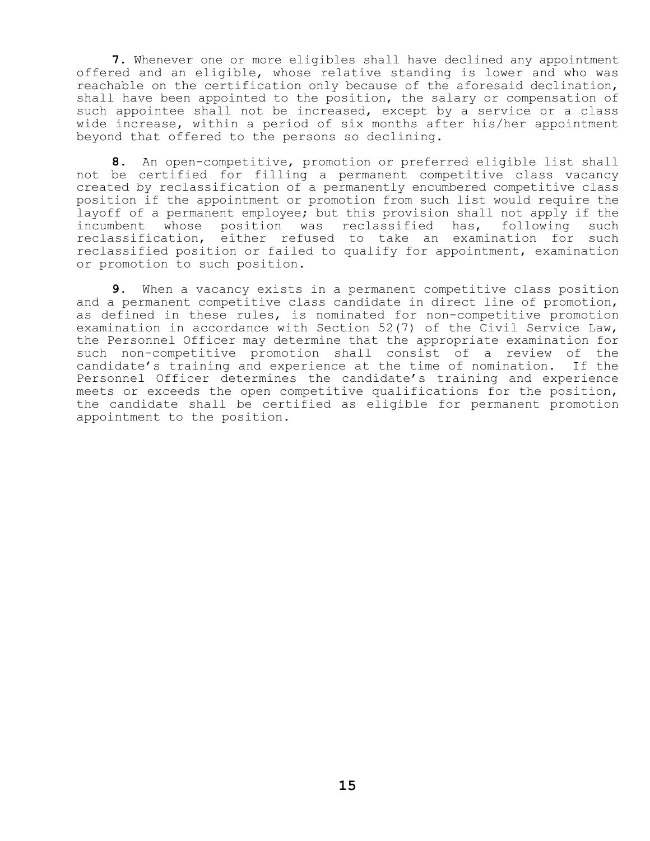**7.** Whenever one or more eligibles shall have declined any appointment offered and an eligible, whose relative standing is lower and who was reachable on the certification only because of the aforesaid declination, shall have been appointed to the position, the salary or compensation of such appointee shall not be increased, except by a service or a class wide increase, within a period of six months after his/her appointment beyond that offered to the persons so declining.

**8.** An open-competitive, promotion or preferred eligible list shall not be certified for filling a permanent competitive class vacancy created by reclassification of a permanently encumbered competitive class position if the appointment or promotion from such list would require the layoff of a permanent employee; but this provision shall not apply if the incumbent whose position was reclassified has, following such reclassification, either refused to take an examination for such reclassified position or failed to qualify for appointment, examination or promotion to such position.

**9.** When a vacancy exists in a permanent competitive class position and a permanent competitive class candidate in direct line of promotion, as defined in these rules, is nominated for non-competitive promotion examination in accordance with Section 52(7) of the Civil Service Law, the Personnel Officer may determine that the appropriate examination for such non-competitive promotion shall consist of a review of the candidate's training and experience at the time of nomination. If the Personnel Officer determines the candidate's training and experience meets or exceeds the open competitive qualifications for the position, the candidate shall be certified as eligible for permanent promotion appointment to the position.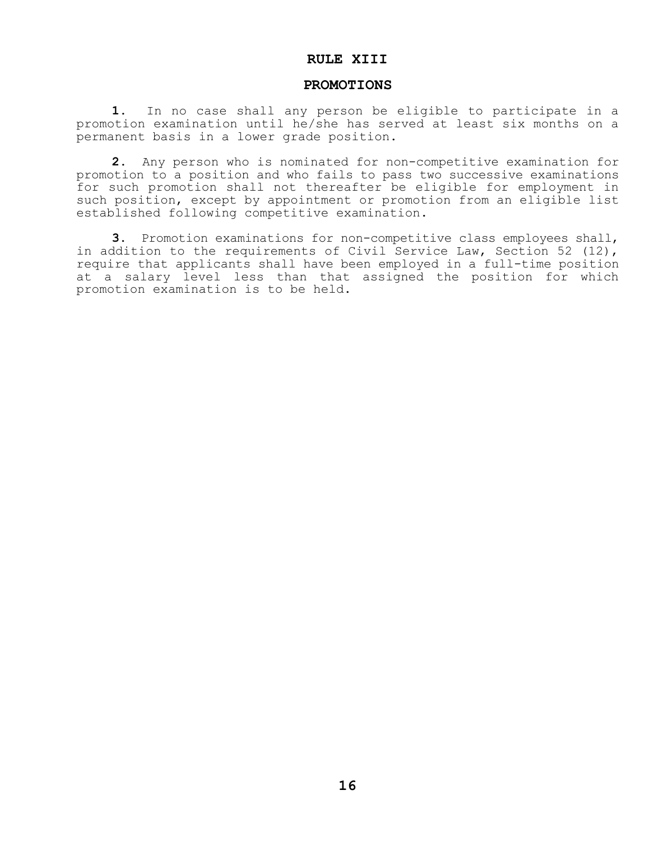## **RULE XIII**

#### **PROMOTIONS**

**1.** In no case shall any person be eligible to participate in a promotion examination until he/she has served at least six months on a permanent basis in a lower grade position.

**2.** Any person who is nominated for non-competitive examination for promotion to a position and who fails to pass two successive examinations for such promotion shall not thereafter be eligible for employment in such position, except by appointment or promotion from an eligible list established following competitive examination.

**3.** Promotion examinations for non-competitive class employees shall, in addition to the requirements of Civil Service Law, Section 52 (12), require that applicants shall have been employed in a full-time position at a salary level less than that assigned the position for which promotion examination is to be held.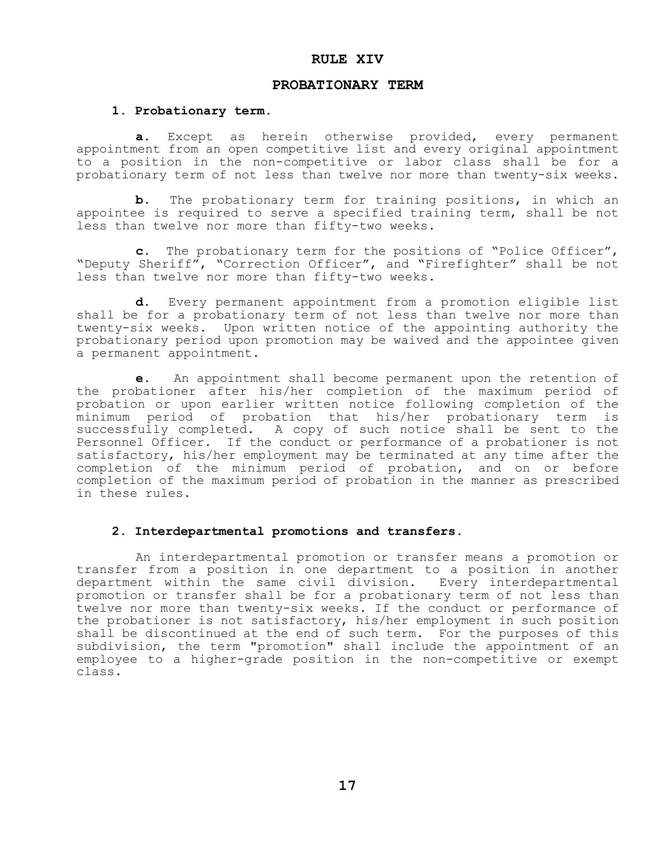#### **RULE XIV**

#### **PROBATIONARY TERM**

#### **1. Probationary term.**

 **a.** Except as herein otherwise provided, every permanent appointment from an open competitive list and every original appointment to a position in the non-competitive or labor class shall be for a probationary term of not less than twelve nor more than twenty-six weeks.

 **b.** The probationary term for training positions, in which an appointee is required to serve a specified training term, shall be not less than twelve nor more than fifty-two weeks.

**c.** The probationary term for the positions of "Police Officer", "Deputy Sheriff", "Correction Officer", and "Firefighter" shall be not less than twelve nor more than fifty-two weeks.

**d.** Every permanent appointment from a promotion eligible list shall be for a probationary term of not less than twelve nor more than twenty-six weeks. Upon written notice of the appointing authority the probationary period upon promotion may be waived and the appointee given a permanent appointment.

**e.** An appointment shall become permanent upon the retention of the probationer after his/her completion of the maximum period of probation or upon earlier written notice following completion of the minimum period of probation that his/her probationary term is successfully completed. A copy of such notice shall be sent to the Personnel Officer. If the conduct or performance of a probationer is not satisfactory, his/her employment may be terminated at any time after the completion of the minimum period of probation, and on or before completion of the maximum period of probation in the manner as prescribed in these rules.

#### **2. Interdepartmental promotions and transfers**.

An interdepartmental promotion or transfer means a promotion or transfer from a position in one department to a position in another department within the same civil division. Every interdepartmental promotion or transfer shall be for a probationary term of not less than twelve nor more than twenty-six weeks. If the conduct or performance of the probationer is not satisfactory, his/her employment in such position shall be discontinued at the end of such term. For the purposes of this subdivision, the term "promotion" shall include the appointment of an employee to a higher-grade position in the non-competitive or exempt class.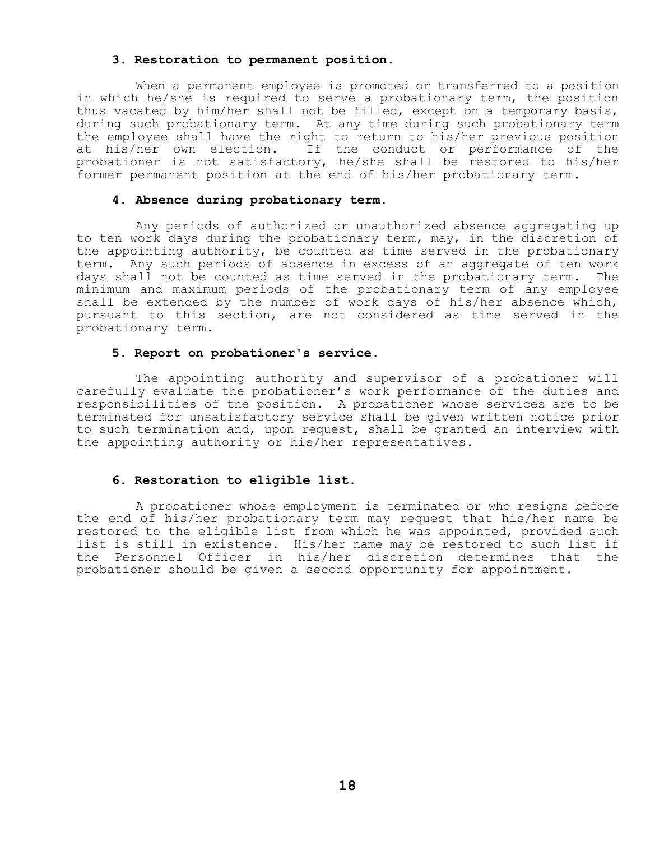#### **3. Restoration to permanent position.**

When a permanent employee is promoted or transferred to a position in which he/she is required to serve a probationary term, the position thus vacated by him/her shall not be filled, except on a temporary basis, during such probationary term. At any time during such probationary term the employee shall have the right to return to his/her previous position at his/her own election. If the conduct or performance of the probationer is not satisfactory, he/she shall be restored to his/her former permanent position at the end of his/her probationary term.

## **4. Absence during probationary term.**

Any periods of authorized or unauthorized absence aggregating up to ten work days during the probationary term, may, in the discretion of the appointing authority, be counted as time served in the probationary term. Any such periods of absence in excess of an aggregate of ten work days shall not be counted as time served in the probationary term. The minimum and maximum periods of the probationary term of any employee shall be extended by the number of work days of his/her absence which, pursuant to this section, are not considered as time served in the probationary term.

#### **5. Report on probationer's service**.

The appointing authority and supervisor of a probationer will carefully evaluate the probationer's work performance of the duties and responsibilities of the position. A probationer whose services are to be terminated for unsatisfactory service shall be given written notice prior to such termination and, upon request, shall be granted an interview with the appointing authority or his/her representatives.

#### **6. Restoration to eligible list.**

A probationer whose employment is terminated or who resigns before the end of his/her probationary term may request that his/her name be restored to the eligible list from which he was appointed, provided such list is still in existence. His/her name may be restored to such list if the Personnel Officer in his/her discretion determines that the probationer should be given a second opportunity for appointment.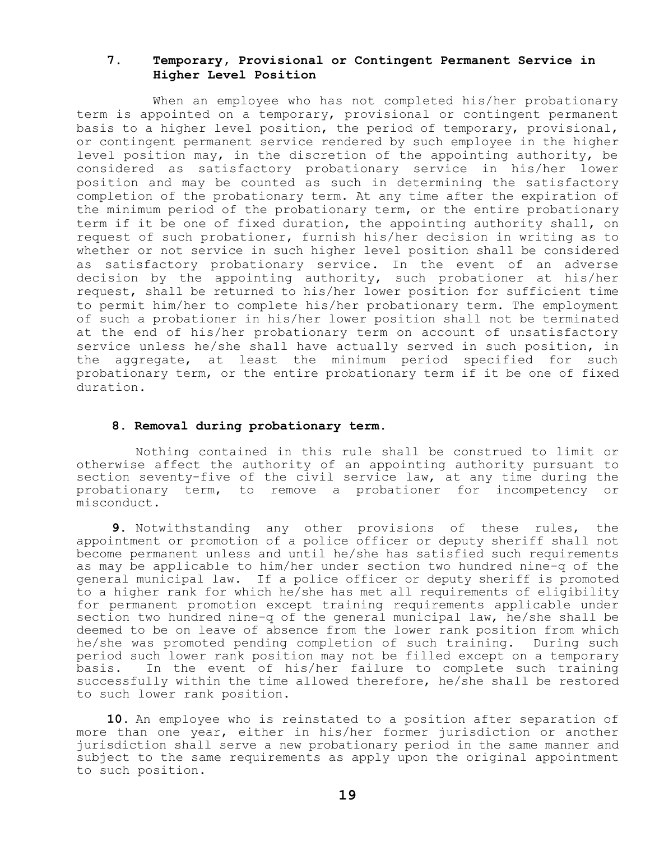#### **7. Temporary, Provisional or Contingent Permanent Service in Higher Level Position**

When an employee who has not completed his/her probationary term is appointed on a temporary, provisional or contingent permanent basis to a higher level position, the period of temporary, provisional, or contingent permanent service rendered by such employee in the higher level position may, in the discretion of the appointing authority, be considered as satisfactory probationary service in his/her lower position and may be counted as such in determining the satisfactory completion of the probationary term. At any time after the expiration of the minimum period of the probationary term, or the entire probationary term if it be one of fixed duration, the appointing authority shall, on request of such probationer, furnish his/her decision in writing as to whether or not service in such higher level position shall be considered as satisfactory probationary service. In the event of an adverse decision by the appointing authority, such probationer at his/her request, shall be returned to his/her lower position for sufficient time to permit him/her to complete his/her probationary term. The employment of such a probationer in his/her lower position shall not be terminated at the end of his/her probationary term on account of unsatisfactory service unless he/she shall have actually served in such position, in the aggregate, at least the minimum period specified for such probationary term, or the entire probationary term if it be one of fixed duration.

#### **8. Removal during probationary term.**

 Nothing contained in this rule shall be construed to limit or otherwise affect the authority of an appointing authority pursuant to section seventy-five of the civil service law, at any time during the probationary term, to remove a probationer for incompetency or misconduct.

 **9.** Notwithstanding any other provisions of these rules, the appointment or promotion of a police officer or deputy sheriff shall not become permanent unless and until he/she has satisfied such requirements as may be applicable to him/her under section two hundred nine-q of the general municipal law. If a police officer or deputy sheriff is promoted to a higher rank for which he/she has met all requirements of eligibility for permanent promotion except training requirements applicable under section two hundred nine-q of the general municipal law, he/she shall be deemed to be on leave of absence from the lower rank position from which he/she was promoted pending completion of such training. During such period such lower rank position may not be filled except on a temporary basis. In the event of his/her failure to complete such training successfully within the time allowed therefore, he/she shall be restored to such lower rank position.

 **10.** An employee who is reinstated to a position after separation of more than one year, either in his/her former jurisdiction or another jurisdiction shall serve a new probationary period in the same manner and subject to the same requirements as apply upon the original appointment to such position.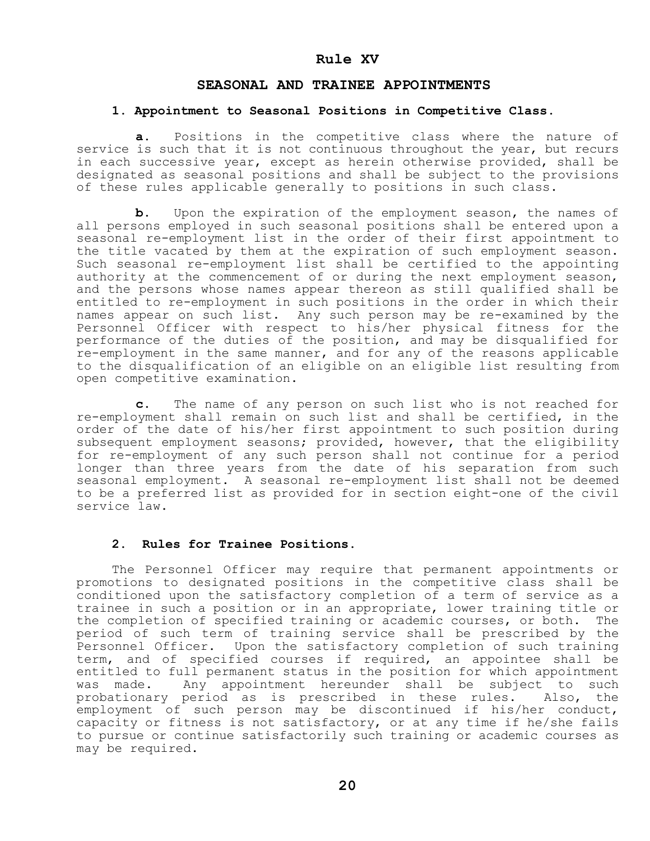#### **Rule XV**

#### **SEASONAL AND TRAINEE APPOINTMENTS**

#### **1. Appointment to Seasonal Positions in Competitive Class.**

 **a.** Positions in the competitive class where the nature of service is such that it is not continuous throughout the year, but recurs in each successive year, except as herein otherwise provided, shall be designated as seasonal positions and shall be subject to the provisions of these rules applicable generally to positions in such class.

**b.** Upon the expiration of the employment season, the names of all persons employed in such seasonal positions shall be entered upon a seasonal re-employment list in the order of their first appointment to the title vacated by them at the expiration of such employment season. Such seasonal re-employment list shall be certified to the appointing authority at the commencement of or during the next employment season, and the persons whose names appear thereon as still qualified shall be entitled to re-employment in such positions in the order in which their names appear on such list. Any such person may be re-examined by the Personnel Officer with respect to his/her physical fitness for the performance of the duties of the position, and may be disqualified for re-employment in the same manner, and for any of the reasons applicable to the disqualification of an eligible on an eligible list resulting from open competitive examination.

**c.** The name of any person on such list who is not reached for re-employment shall remain on such list and shall be certified, in the order of the date of his/her first appointment to such position during subsequent employment seasons; provided, however, that the eligibility for re-employment of any such person shall not continue for a period longer than three years from the date of his separation from such seasonal employment. A seasonal re-employment list shall not be deemed to be a preferred list as provided for in section eight-one of the civil service law.

#### **2. Rules for Trainee Positions**.

 The Personnel Officer may require that permanent appointments or promotions to designated positions in the competitive class shall be conditioned upon the satisfactory completion of a term of service as a trainee in such a position or in an appropriate, lower training title or the completion of specified training or academic courses, or both. The period of such term of training service shall be prescribed by the Personnel Officer. Upon the satisfactory completion of such training term, and of specified courses if required, an appointee shall be entitled to full permanent status in the position for which appointment was made. Any appointment hereunder shall be subject to such probationary period as is prescribed in these rules. Also, the employment of such person may be discontinued if his/her conduct, capacity or fitness is not satisfactory, or at any time if he/she fails to pursue or continue satisfactorily such training or academic courses as may be required.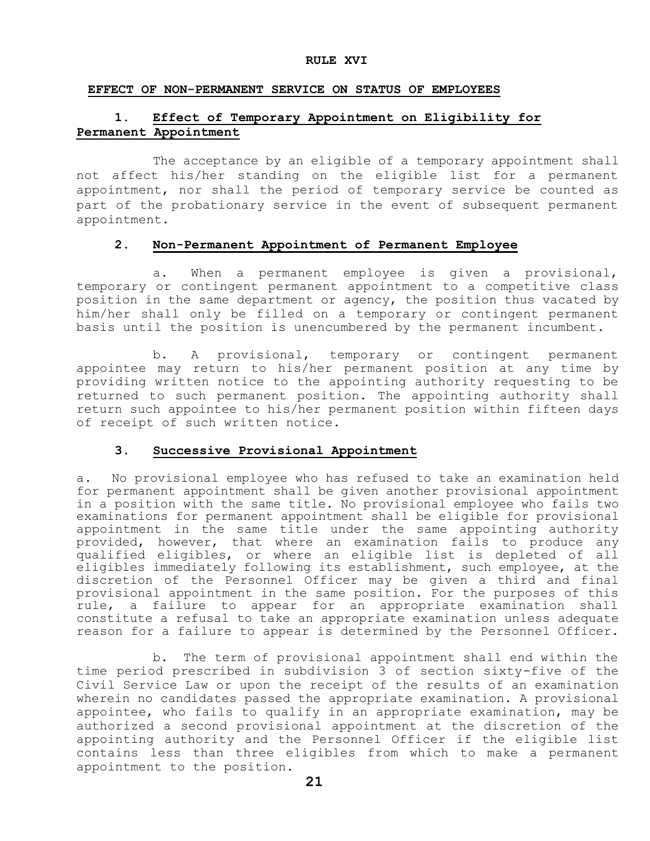#### **RULE XVI**

#### **EFFECT OF NON-PERMANENT SERVICE ON STATUS OF EMPLOYEES**

## **1. Effect of Temporary Appointment on Eligibility for Permanent Appointment**

The acceptance by an eligible of a temporary appointment shall not affect his/her standing on the eligible list for a permanent appointment, nor shall the period of temporary service be counted as part of the probationary service in the event of subsequent permanent appointment.

#### **2. Non-Permanent Appointment of Permanent Employee**

a. When a permanent employee is given a provisional, temporary or contingent permanent appointment to a competitive class position in the same department or agency, the position thus vacated by him/her shall only be filled on a temporary or contingent permanent basis until the position is unencumbered by the permanent incumbent.

b. A provisional, temporary or contingent permanent appointee may return to his/her permanent position at any time by providing written notice to the appointing authority requesting to be returned to such permanent position. The appointing authority shall return such appointee to his/her permanent position within fifteen days of receipt of such written notice.

#### **3. Successive Provisional Appointment**

a. No provisional employee who has refused to take an examination held for permanent appointment shall be given another provisional appointment in a position with the same title. No provisional employee who fails two examinations for permanent appointment shall be eligible for provisional appointment in the same title under the same appointing authority provided, however, that where an examination fails to produce any qualified eligibles, or where an eligible list is depleted of all eligibles immediately following its establishment, such employee, at the discretion of the Personnel Officer may be given a third and final provisional appointment in the same position. For the purposes of this rule, a failure to appear for an appropriate examination shall constitute a refusal to take an appropriate examination unless adequate reason for a failure to appear is determined by the Personnel Officer.

b. The term of provisional appointment shall end within the time period prescribed in subdivision 3 of section sixty-five of the Civil Service Law or upon the receipt of the results of an examination wherein no candidates passed the appropriate examination. A provisional appointee, who fails to qualify in an appropriate examination, may be authorized a second provisional appointment at the discretion of the appointing authority and the Personnel Officer if the eligible list contains less than three eligibles from which to make a permanent appointment to the position.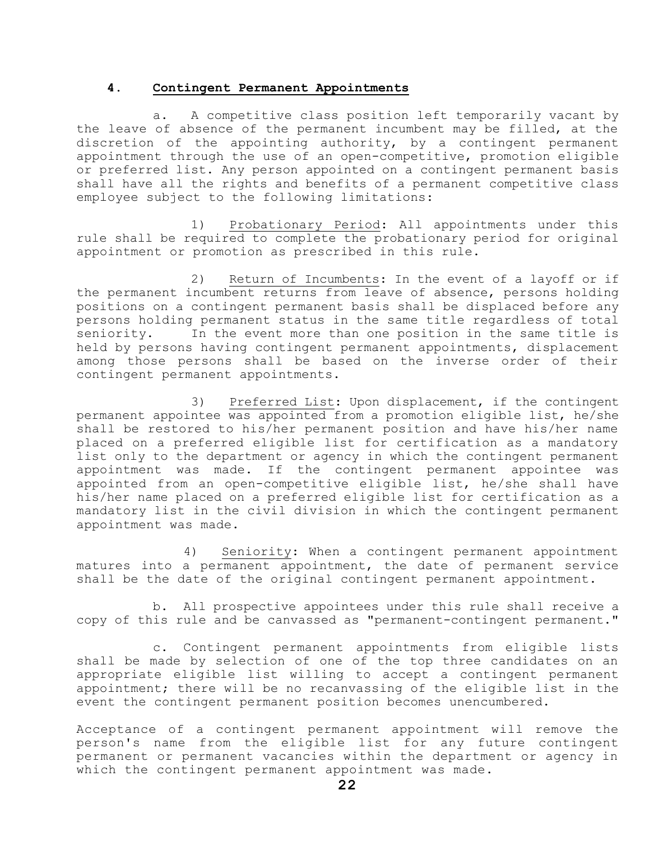#### **4. Contingent Permanent Appointments**

a. A competitive class position left temporarily vacant by the leave of absence of the permanent incumbent may be filled, at the discretion of the appointing authority, by a contingent permanent appointment through the use of an open-competitive, promotion eligible or preferred list. Any person appointed on a contingent permanent basis shall have all the rights and benefits of a permanent competitive class employee subject to the following limitations:

1) Probationary Period: All appointments under this rule shall be required to complete the probationary period for original appointment or promotion as prescribed in this rule.

2) Return of Incumbents: In the event of a layoff or if the permanent incumbent returns from leave of absence, persons holding positions on a contingent permanent basis shall be displaced before any persons holding permanent status in the same title regardless of total seniority. In the event more than one position in the same title is held by persons having contingent permanent appointments, displacement among those persons shall be based on the inverse order of their contingent permanent appointments.

3) Preferred List: Upon displacement, if the contingent permanent appointee was appointed from a promotion eligible list, he/she shall be restored to his/her permanent position and have his/her name placed on a preferred eligible list for certification as a mandatory list only to the department or agency in which the contingent permanent appointment was made. If the contingent permanent appointee was appointed from an open-competitive eligible list, he/she shall have his/her name placed on a preferred eligible list for certification as a mandatory list in the civil division in which the contingent permanent appointment was made.

4) Seniority: When a contingent permanent appointment matures into a permanent appointment, the date of permanent service shall be the date of the original contingent permanent appointment.

b. All prospective appointees under this rule shall receive a copy of this rule and be canvassed as "permanent-contingent permanent."

c. Contingent permanent appointments from eligible lists shall be made by selection of one of the top three candidates on an appropriate eligible list willing to accept a contingent permanent appointment; there will be no recanvassing of the eligible list in the event the contingent permanent position becomes unencumbered.

Acceptance of a contingent permanent appointment will remove the person's name from the eligible list for any future contingent permanent or permanent vacancies within the department or agency in which the contingent permanent appointment was made.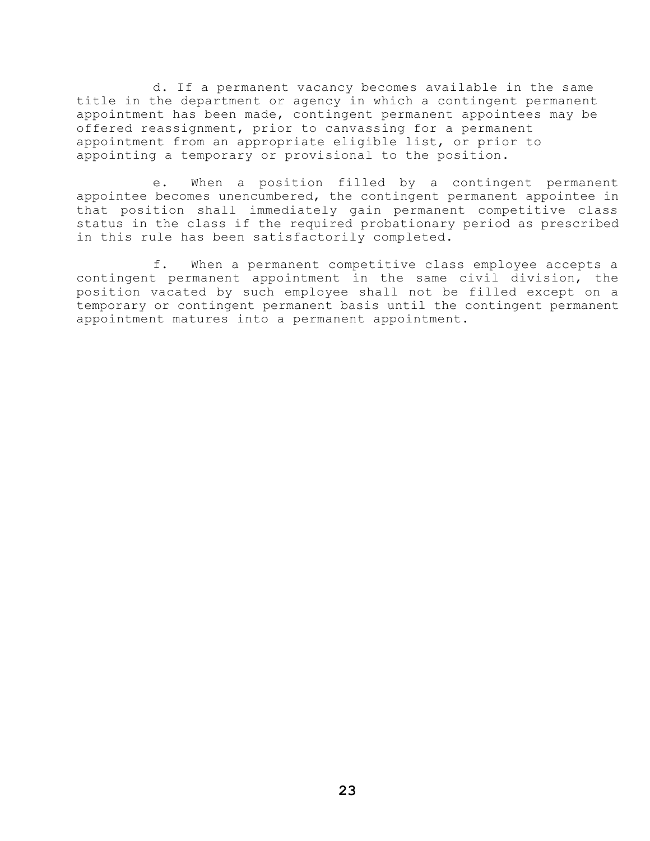d. If a permanent vacancy becomes available in the same title in the department or agency in which a contingent permanent appointment has been made, contingent permanent appointees may be offered reassignment, prior to canvassing for a permanent appointment from an appropriate eligible list, or prior to appointing a temporary or provisional to the position.

e. When a position filled by a contingent permanent appointee becomes unencumbered, the contingent permanent appointee in that position shall immediately gain permanent competitive class status in the class if the required probationary period as prescribed in this rule has been satisfactorily completed.

f. When a permanent competitive class employee accepts a contingent permanent appointment in the same civil division, the position vacated by such employee shall not be filled except on a temporary or contingent permanent basis until the contingent permanent appointment matures into a permanent appointment.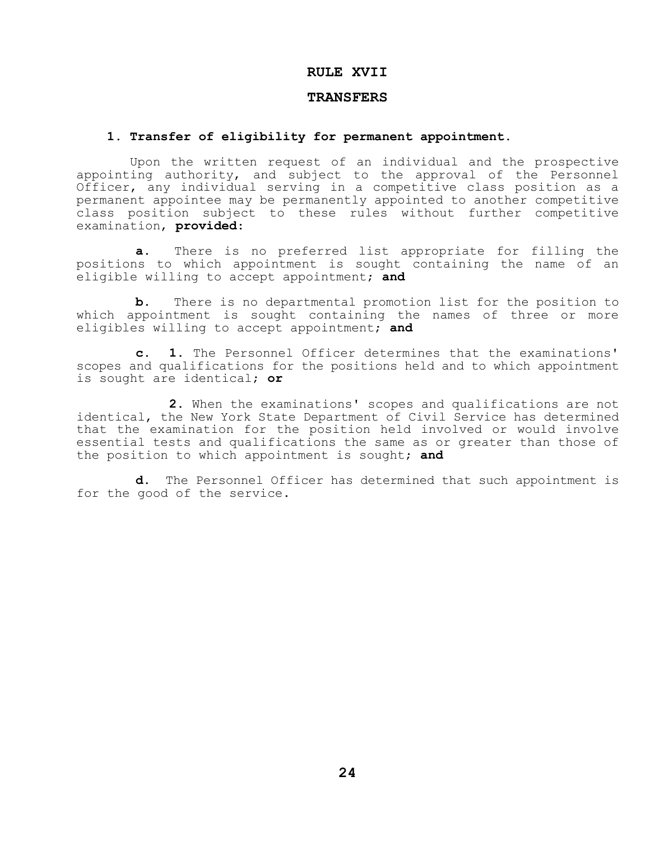### **RULE XVII**

#### **TRANSFERS**

#### **1. Transfer of eligibility for permanent appointment.**

 Upon the written request of an individual and the prospective appointing authority, and subject to the approval of the Personnel Officer, any individual serving in a competitive class position as a permanent appointee may be permanently appointed to another competitive class position subject to these rules without further competitive examination, **provided**:

**a.** There is no preferred list appropriate for filling the positions to which appointment is sought containing the name of an eligible willing to accept appointment; **and**

**b.** There is no departmental promotion list for the position to which appointment is sought containing the names of three or more eligibles willing to accept appointment; **and**

**c. 1.** The Personnel Officer determines that the examinations' scopes and qualifications for the positions held and to which appointment is sought are identical; **or**

**2.** When the examinations' scopes and qualifications are not identical, the New York State Department of Civil Service has determined that the examination for the position held involved or would involve essential tests and qualifications the same as or greater than those of the position to which appointment is sought; **and**

**d.** The Personnel Officer has determined that such appointment is for the good of the service.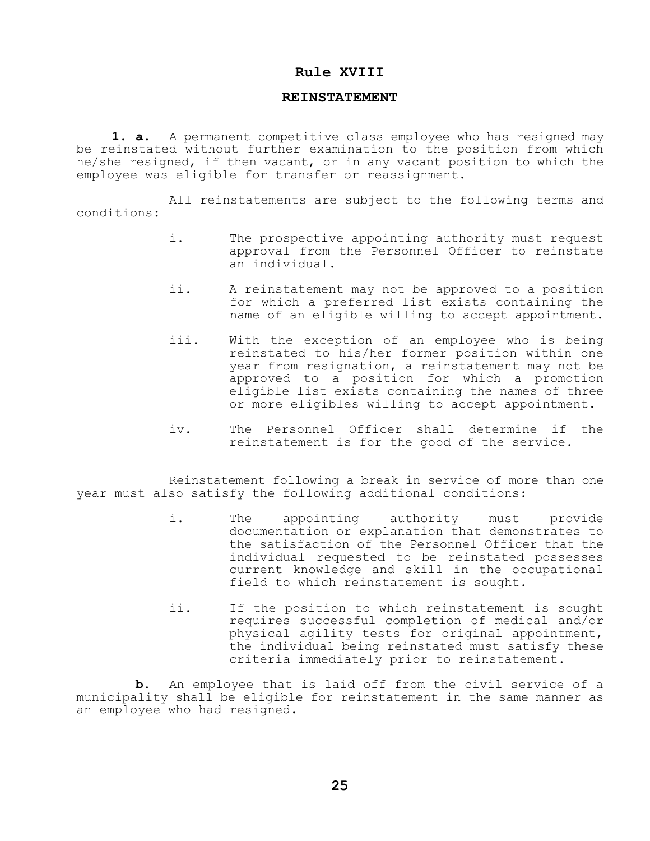#### **Rule XVIII**

#### **REINSTATEMENT**

**1. a.** A permanent competitive class employee who has resigned may be reinstated without further examination to the position from which he/she resigned, if then vacant, or in any vacant position to which the employee was eligible for transfer or reassignment.

All reinstatements are subject to the following terms and conditions:

- i. The prospective appointing authority must request approval from the Personnel Officer to reinstate an individual.
- ii. A reinstatement may not be approved to a position for which a preferred list exists containing the name of an eligible willing to accept appointment.
- iii. With the exception of an employee who is being reinstated to his/her former position within one year from resignation, a reinstatement may not be approved to a position for which a promotion eligible list exists containing the names of three or more eligibles willing to accept appointment.
- iv. The Personnel Officer shall determine if the reinstatement is for the good of the service.

Reinstatement following a break in service of more than one year must also satisfy the following additional conditions:

- i. The appointing authority must provide documentation or explanation that demonstrates to the satisfaction of the Personnel Officer that the individual requested to be reinstated possesses current knowledge and skill in the occupational field to which reinstatement is sought.
- ii. If the position to which reinstatement is sought requires successful completion of medical and/or physical agility tests for original appointment, the individual being reinstated must satisfy these criteria immediately prior to reinstatement.

**b.** An employee that is laid off from the civil service of a municipality shall be eligible for reinstatement in the same manner as an employee who had resigned.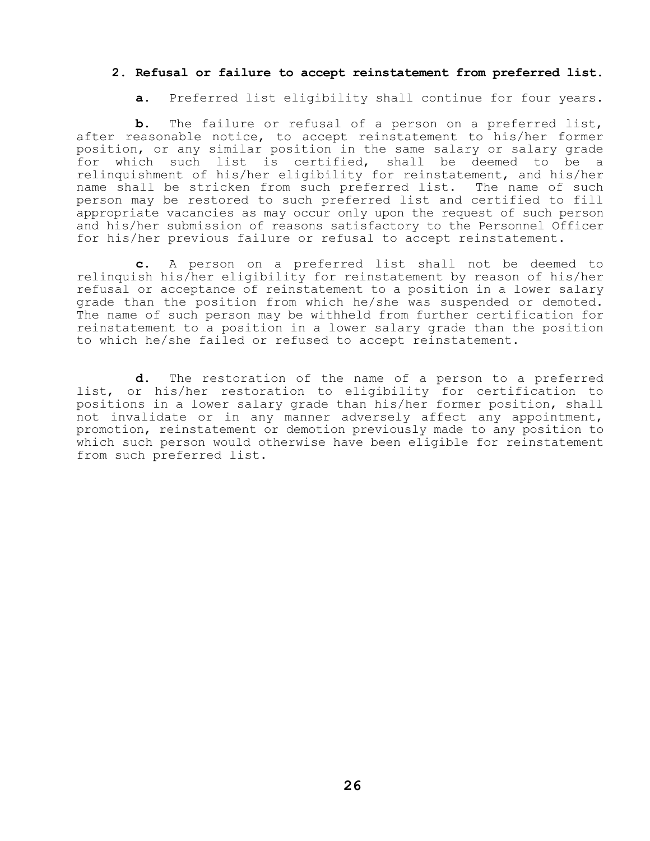#### **2. Refusal or failure to accept reinstatement from preferred list.**

**a.** Preferred list eligibility shall continue for four years.

**b.** The failure or refusal of a person on a preferred list, after reasonable notice, to accept reinstatement to his/her former position, or any similar position in the same salary or salary grade for which such list is certified, shall be deemed to be a relinquishment of his/her eligibility for reinstatement, and his/her name shall be stricken from such preferred list. The name of such person may be restored to such preferred list and certified to fill appropriate vacancies as may occur only upon the request of such person and his/her submission of reasons satisfactory to the Personnel Officer for his/her previous failure or refusal to accept reinstatement.

**c.** A person on a preferred list shall not be deemed to relinquish his/her eligibility for reinstatement by reason of his/her refusal or acceptance of reinstatement to a position in a lower salary grade than the position from which he/she was suspended or demoted. The name of such person may be withheld from further certification for reinstatement to a position in a lower salary grade than the position to which he/she failed or refused to accept reinstatement.

**d.** The restoration of the name of a person to a preferred list, or his/her restoration to eligibility for certification to positions in a lower salary grade than his/her former position, shall not invalidate or in any manner adversely affect any appointment, promotion, reinstatement or demotion previously made to any position to which such person would otherwise have been eligible for reinstatement from such preferred list.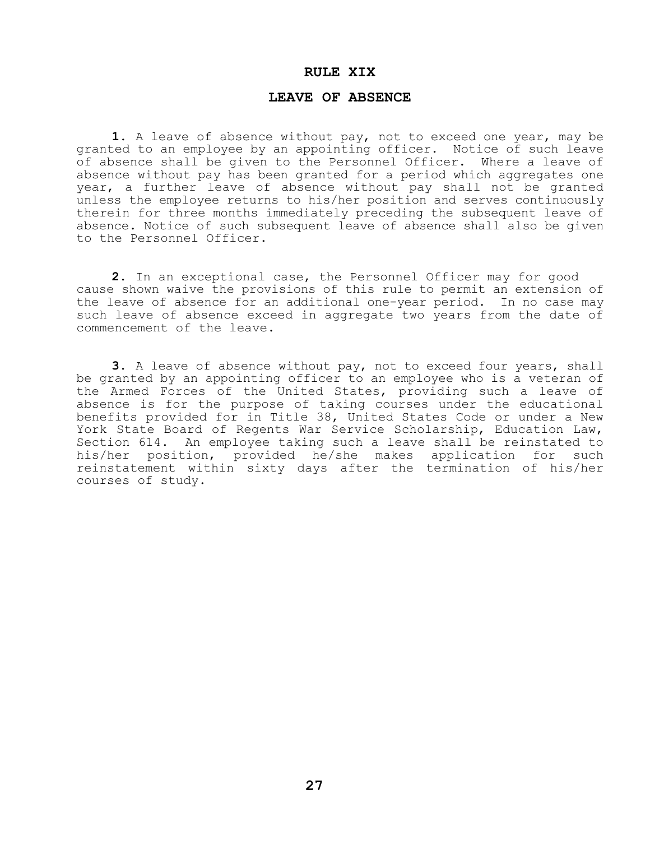#### **RULE XIX**

#### **LEAVE OF ABSENCE**

**1.** A leave of absence without pay, not to exceed one year, may be granted to an employee by an appointing officer. Notice of such leave of absence shall be given to the Personnel Officer. Where a leave of absence without pay has been granted for a period which aggregates one year, a further leave of absence without pay shall not be granted unless the employee returns to his/her position and serves continuously therein for three months immediately preceding the subsequent leave of absence. Notice of such subsequent leave of absence shall also be given to the Personnel Officer.

**2.** In an exceptional case, the Personnel Officer may for good cause shown waive the provisions of this rule to permit an extension of the leave of absence for an additional one-year period. In no case may such leave of absence exceed in aggregate two years from the date of commencement of the leave.

**3.** A leave of absence without pay, not to exceed four years, shall be granted by an appointing officer to an employee who is a veteran of the Armed Forces of the United States, providing such a leave of absence is for the purpose of taking courses under the educational benefits provided for in Title 38, United States Code or under a New York State Board of Regents War Service Scholarship, Education Law, Section 614. An employee taking such a leave shall be reinstated to his/her position, provided he/she makes application for such reinstatement within sixty days after the termination of his/her courses of study.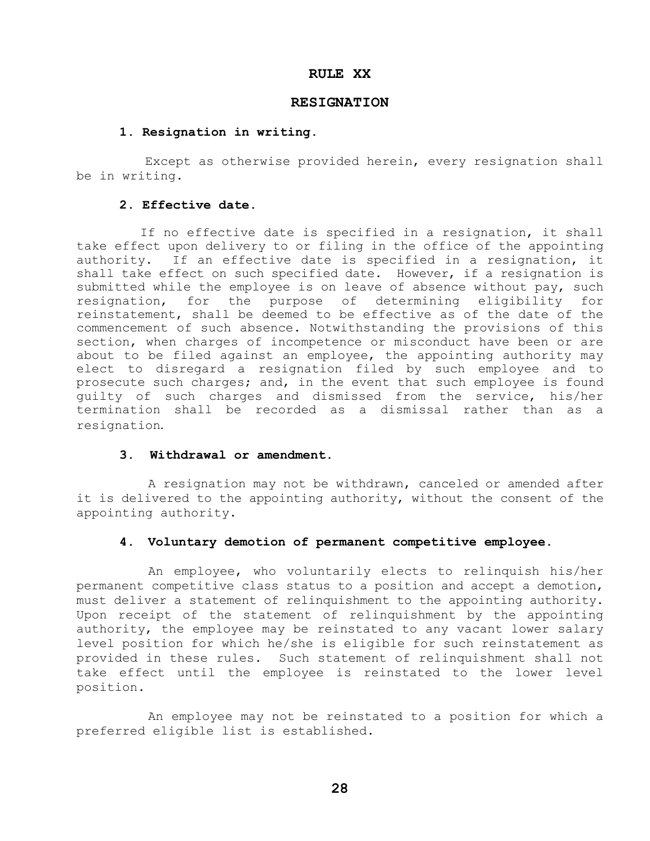#### **RULE XX**

#### **RESIGNATION**

#### **1. Resignation in writing.**

 Except as otherwise provided herein, every resignation shall be in writing.

#### **2. Effective date.**

 If no effective date is specified in a resignation, it shall take effect upon delivery to or filing in the office of the appointing authority. If an effective date is specified in a resignation, it shall take effect on such specified date. However, if a resignation is submitted while the employee is on leave of absence without pay, such resignation, for the purpose of determining eligibility for reinstatement, shall be deemed to be effective as of the date of the commencement of such absence. Notwithstanding the provisions of this section, when charges of incompetence or misconduct have been or are about to be filed against an employee, the appointing authority may elect to disregard a resignation filed by such employee and to prosecute such charges; and, in the event that such employee is found guilty of such charges and dismissed from the service, his/her termination shall be recorded as a dismissal rather than as a resignation.

#### **3. Withdrawal or amendment**.

A resignation may not be withdrawn, canceled or amended after it is delivered to the appointing authority, without the consent of the appointing authority.

#### **4. Voluntary demotion of permanent competitive employee.**

An employee, who voluntarily elects to relinquish his/her permanent competitive class status to a position and accept a demotion, must deliver a statement of relinquishment to the appointing authority. Upon receipt of the statement of relinquishment by the appointing authority, the employee may be reinstated to any vacant lower salary level position for which he/she is eligible for such reinstatement as provided in these rules. Such statement of relinquishment shall not take effect until the employee is reinstated to the lower level position.

An employee may not be reinstated to a position for which a preferred eligible list is established.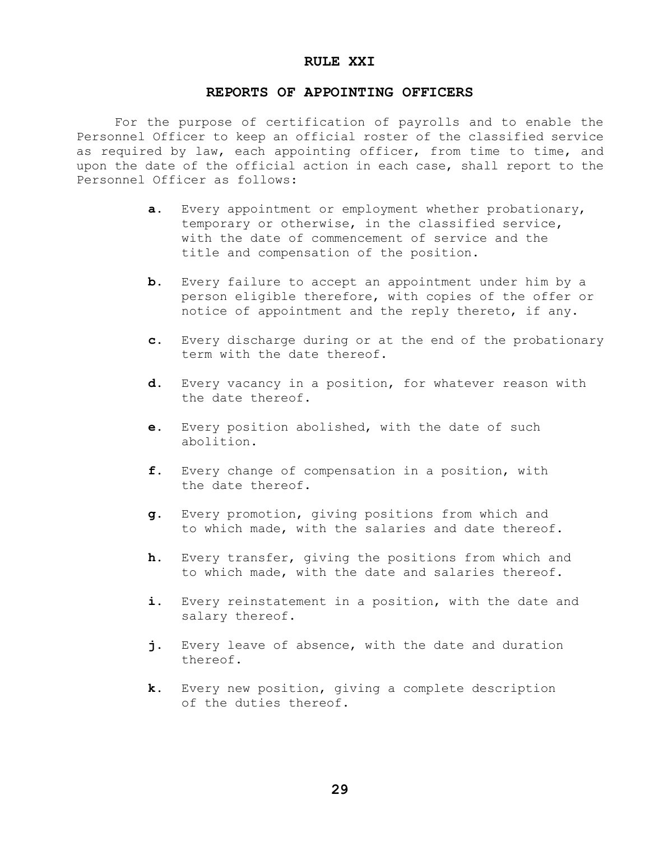#### **RULE XXI**

#### **REPORTS OF APPOINTING OFFICERS**

 For the purpose of certification of payrolls and to enable the Personnel Officer to keep an official roster of the classified service as required by law, each appointing officer, from time to time, and upon the date of the official action in each case, shall report to the Personnel Officer as follows:

- **a.** Every appointment or employment whether probationary, temporary or otherwise, in the classified service, with the date of commencement of service and the title and compensation of the position.
- **b.** Every failure to accept an appointment under him by a person eligible therefore, with copies of the offer or notice of appointment and the reply thereto, if any.
- **c.** Every discharge during or at the end of the probationary term with the date thereof.
- **d.** Every vacancy in a position, for whatever reason with the date thereof.
- **e.** Every position abolished, with the date of such abolition.
- **f.** Every change of compensation in a position, with the date thereof.
- **g.** Every promotion, giving positions from which and to which made, with the salaries and date thereof.
- **h**. Every transfer, giving the positions from which and to which made, with the date and salaries thereof.
- **i.** Every reinstatement in a position, with the date and salary thereof.
- **j.** Every leave of absence, with the date and duration thereof.
- **k.** Every new position, giving a complete description of the duties thereof.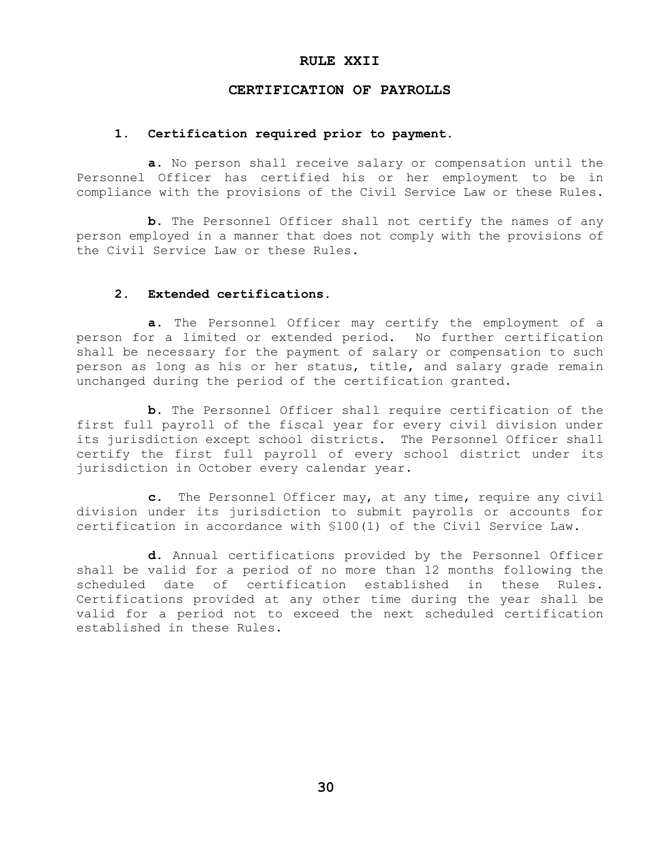#### **RULE XXII**

## **CERTIFICATION OF PAYROLLS**

#### **1. Certification required prior to payment.**

**a.** No person shall receive salary or compensation until the Personnel Officer has certified his or her employment to be in compliance with the provisions of the Civil Service Law or these Rules.

**b.** The Personnel Officer shall not certify the names of any person employed in a manner that does not comply with the provisions of the Civil Service Law or these Rules.

#### **2. Extended certifications.**

**a.** The Personnel Officer may certify the employment of a person for a limited or extended period. No further certification shall be necessary for the payment of salary or compensation to such person as long as his or her status, title, and salary grade remain unchanged during the period of the certification granted.

**b.** The Personnel Officer shall require certification of the first full payroll of the fiscal year for every civil division under its jurisdiction except school districts. The Personnel Officer shall certify the first full payroll of every school district under its jurisdiction in October every calendar year.

**c.** The Personnel Officer may, at any time, require any civil division under its jurisdiction to submit payrolls or accounts for certification in accordance with §100(1) of the Civil Service Law.

**d.** Annual certifications provided by the Personnel Officer shall be valid for a period of no more than 12 months following the scheduled date of certification established in these Rules. Certifications provided at any other time during the year shall be valid for a period not to exceed the next scheduled certification established in these Rules.

**30**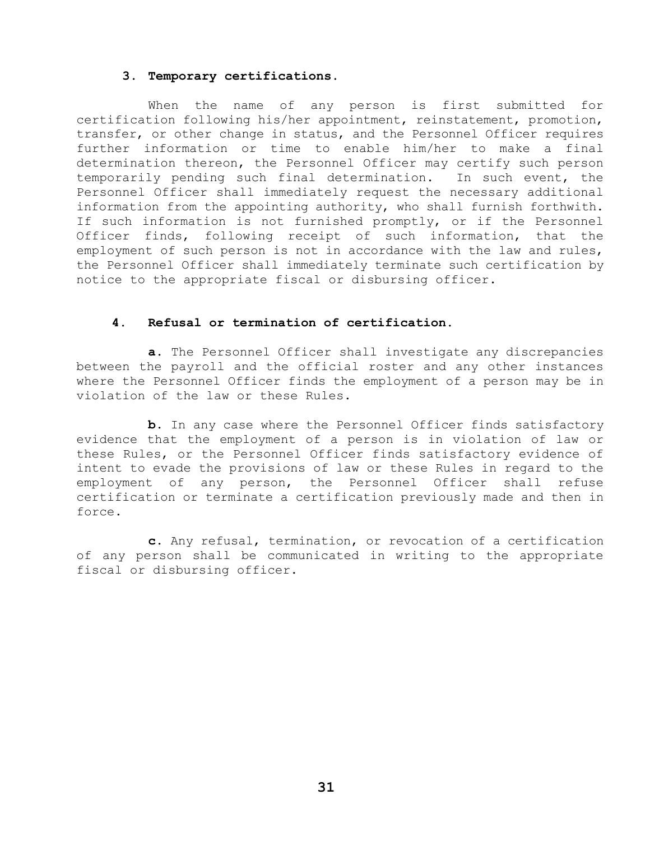#### **3. Temporary certifications.**

When the name of any person is first submitted for certification following his/her appointment, reinstatement, promotion, transfer, or other change in status, and the Personnel Officer requires further information or time to enable him/her to make a final determination thereon, the Personnel Officer may certify such person temporarily pending such final determination. In such event, the Personnel Officer shall immediately request the necessary additional information from the appointing authority, who shall furnish forthwith. If such information is not furnished promptly, or if the Personnel Officer finds, following receipt of such information, that the employment of such person is not in accordance with the law and rules, the Personnel Officer shall immediately terminate such certification by notice to the appropriate fiscal or disbursing officer.

#### **4. Refusal or termination of certification.**

**a.** The Personnel Officer shall investigate any discrepancies between the payroll and the official roster and any other instances where the Personnel Officer finds the employment of a person may be in violation of the law or these Rules.

**b.** In any case where the Personnel Officer finds satisfactory evidence that the employment of a person is in violation of law or these Rules, or the Personnel Officer finds satisfactory evidence of intent to evade the provisions of law or these Rules in regard to the employment of any person, the Personnel Officer shall refuse certification or terminate a certification previously made and then in force.

**c.** Any refusal, termination, or revocation of a certification of any person shall be communicated in writing to the appropriate fiscal or disbursing officer.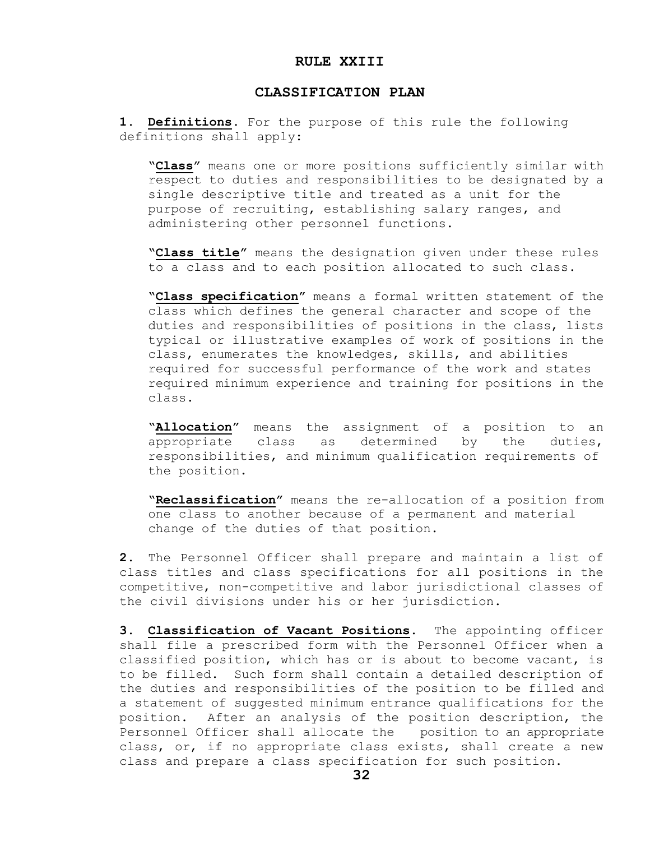#### **RULE XXIII**

#### **CLASSIFICATION PLAN**

**1. Definitions**. For the purpose of this rule the following definitions shall apply:

**"Class"** means one or more positions sufficiently similar with respect to duties and responsibilities to be designated by a single descriptive title and treated as a unit for the purpose of recruiting, establishing salary ranges, and administering other personnel functions.

**"Class title"** means the designation given under these rules to a class and to each position allocated to such class.

**"Class specification"** means a formal written statement of the class which defines the general character and scope of the duties and responsibilities of positions in the class, lists typical or illustrative examples of work of positions in the class, enumerates the knowledges, skills, and abilities required for successful performance of the work and states required minimum experience and training for positions in the class.

**"Allocation"** means the assignment of a position to an appropriate class as determined by the duties, responsibilities, and minimum qualification requirements of the position.

**"Reclassification"** means the re-allocation of a position from one class to another because of a permanent and material change of the duties of that position.

**2.** The Personnel Officer shall prepare and maintain a list of class titles and class specifications for all positions in the competitive, non-competitive and labor jurisdictional classes of the civil divisions under his or her jurisdiction.

**3. Classification of Vacant Positions**. The appointing officer shall file a prescribed form with the Personnel Officer when a classified position, which has or is about to become vacant, is to be filled. Such form shall contain a detailed description of the duties and responsibilities of the position to be filled and a statement of suggested minimum entrance qualifications for the position. After an analysis of the position description, the Personnel Officer shall allocate the position to an appropriate class, or, if no appropriate class exists, shall create a new class and prepare a class specification for such position.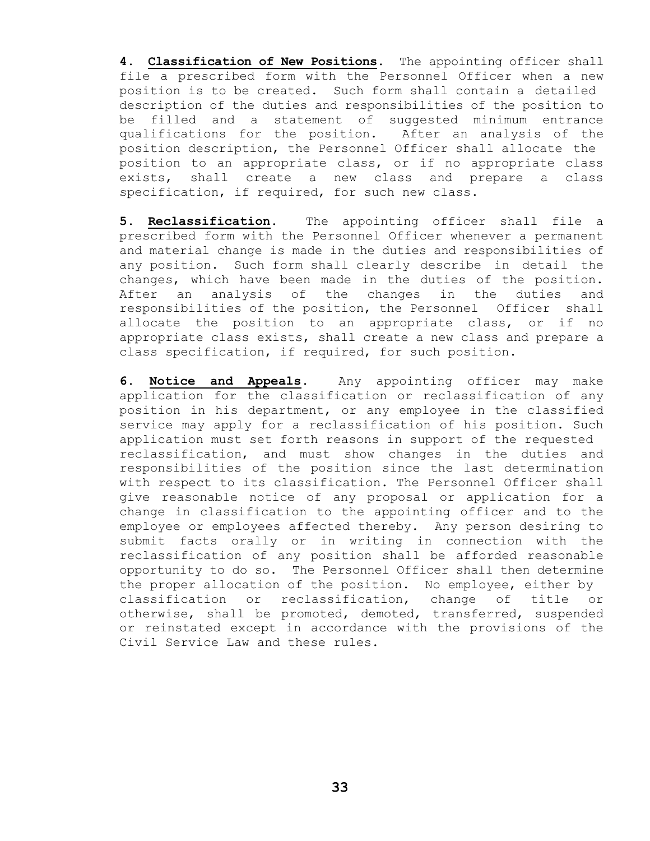**4**. **Classification of New Positions**. The appointing officer shall file a prescribed form with the Personnel Officer when a new position is to be created. Such form shall contain a detailed description of the duties and responsibilities of the position to be filled and a statement of suggested minimum entrance qualifications for the position. After an analysis of the position description, the Personnel Officer shall allocate the position to an appropriate class, or if no appropriate class exists, shall create a new class and prepare a class specification, if required, for such new class.

**5. Reclassification**. The appointing officer shall file a prescribed form with the Personnel Officer whenever a permanent and material change is made in the duties and responsibilities of any position. Such form shall clearly describe in detail the changes, which have been made in the duties of the position. After an analysis of the changes in the duties and responsibilities of the position, the Personnel Officer shall allocate the position to an appropriate class, or if no appropriate class exists, shall create a new class and prepare a class specification, if required, for such position.

**6. Notice and Appeals**. Any appointing officer may make application for the classification or reclassification of any position in his department, or any employee in the classified service may apply for a reclassification of his position. Such application must set forth reasons in support of the requested reclassification, and must show changes in the duties and responsibilities of the position since the last determination with respect to its classification. The Personnel Officer shall give reasonable notice of any proposal or application for a change in classification to the appointing officer and to the employee or employees affected thereby. Any person desiring to submit facts orally or in writing in connection with the reclassification of any position shall be afforded reasonable opportunity to do so. The Personnel Officer shall then determine the proper allocation of the position. No employee, either by classification or reclassification, change of title or otherwise, shall be promoted, demoted, transferred, suspended or reinstated except in accordance with the provisions of the Civil Service Law and these rules.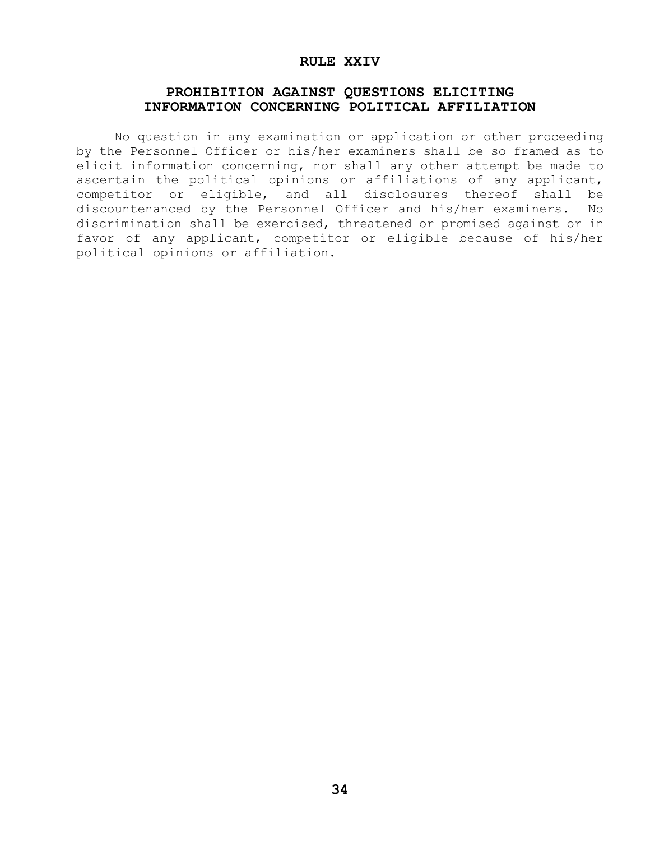#### **RULE XXIV**

## **PROHIBITION AGAINST QUESTIONS ELICITING INFORMATION CONCERNING POLITICAL AFFILIATION**

 No question in any examination or application or other proceeding by the Personnel Officer or his/her examiners shall be so framed as to elicit information concerning, nor shall any other attempt be made to ascertain the political opinions or affiliations of any applicant, competitor or eligible, and all disclosures thereof shall be discountenanced by the Personnel Officer and his/her examiners. No discrimination shall be exercised, threatened or promised against or in favor of any applicant, competitor or eligible because of his/her political opinions or affiliation.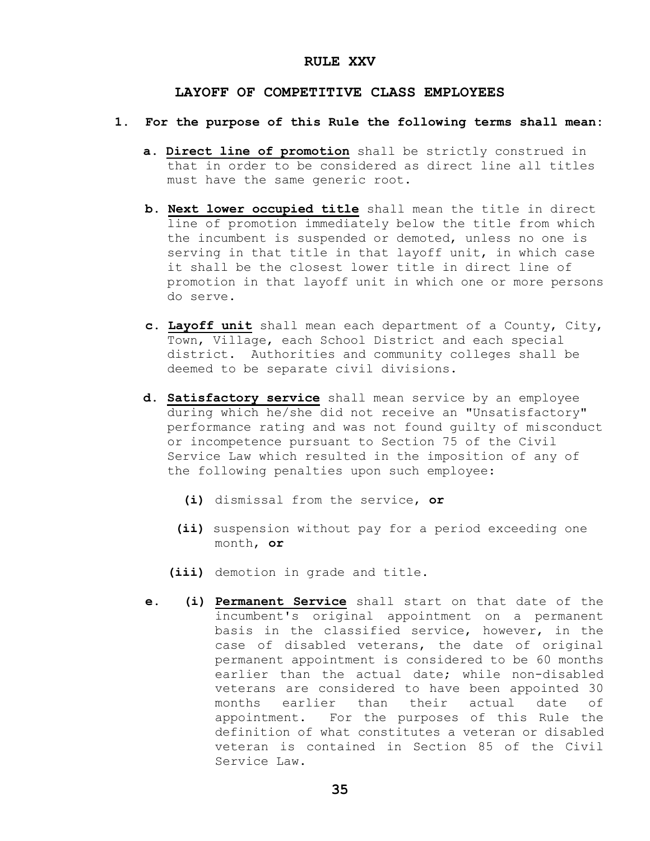#### **RULE XXV**

#### **LAYOFF OF COMPETITIVE CLASS EMPLOYEES**

#### **1. For the purpose of this Rule the following terms shall mean:**

- **a. Direct line of promotion** shall be strictly construed in that in order to be considered as direct line all titles must have the same generic root.
- **b. Next lower occupied title** shall mean the title in direct line of promotion immediately below the title from which the incumbent is suspended or demoted, unless no one is serving in that title in that layoff unit, in which case it shall be the closest lower title in direct line of promotion in that layoff unit in which one or more persons do serve.
- **c. Layoff unit** shall mean each department of a County, City, Town, Village, each School District and each special district. Authorities and community colleges shall be deemed to be separate civil divisions.
- **d. Satisfactory service** shall mean service by an employee during which he/she did not receive an "Unsatisfactory" performance rating and was not found guilty of misconduct or incompetence pursuant to Section 75 of the Civil Service Law which resulted in the imposition of any of the following penalties upon such employee:
	- **(i)** dismissal from the service, **or**
	- **(ii)** suspension without pay for a period exceeding one month, **or**
	- **(iii)** demotion in grade and title.
- **e. (i) Permanent Service** shall start on that date of the incumbent's original appointment on a permanent basis in the classified service, however, in the case of disabled veterans, the date of original permanent appointment is considered to be 60 months earlier than the actual date; while non-disabled veterans are considered to have been appointed 30 months earlier than their actual date of appointment. For the purposes of this Rule the definition of what constitutes a veteran or disabled veteran is contained in Section 85 of the Civil Service Law.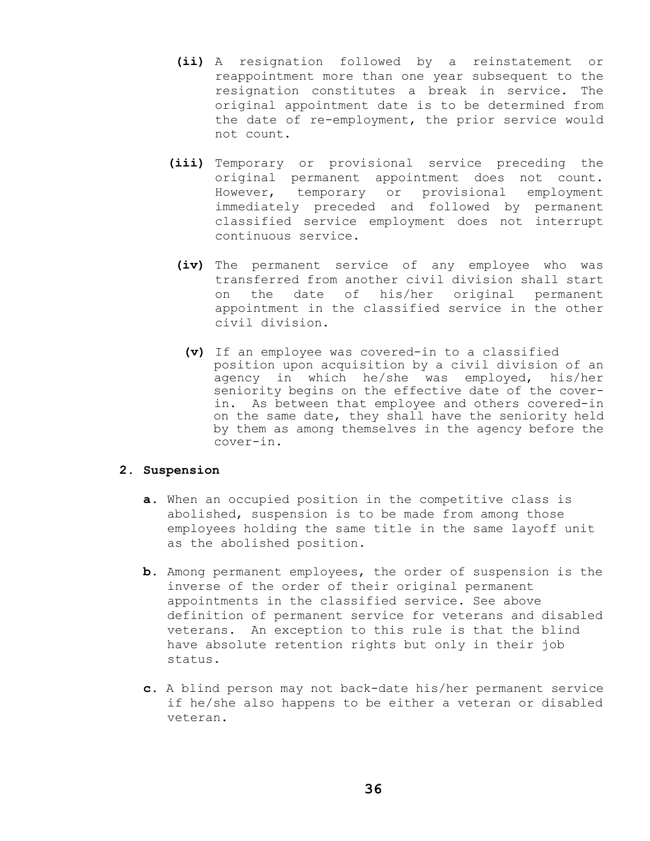- **(ii)** A resignation followed by a reinstatement or reappointment more than one year subsequent to the resignation constitutes a break in service. The original appointment date is to be determined from the date of re-employment, the prior service would not count.
- **(iii)** Temporary or provisional service preceding the original permanent appointment does not count. However, temporary or provisional employment immediately preceded and followed by permanent classified service employment does not interrupt continuous service.
	- **(iv)** The permanent service of any employee who was transferred from another civil division shall start on the date of his/her original permanent appointment in the classified service in the other civil division.
		- **(v)** If an employee was covered-in to a classified position upon acquisition by a civil division of an agency in which he/she was employed, his/her seniority begins on the effective date of the cover in. As between that employee and others covered-in on the same date, they shall have the seniority held by them as among themselves in the agency before the cover-in.

#### **2. Suspension**

- **a.** When an occupied position in the competitive class is abolished, suspension is to be made from among those employees holding the same title in the same layoff unit as the abolished position.
- **b.** Among permanent employees, the order of suspension is the inverse of the order of their original permanent appointments in the classified service. See above definition of permanent service for veterans and disabled veterans. An exception to this rule is that the blind have absolute retention rights but only in their job status.
- **c.** A blind person may not back-date his/her permanent service if he/she also happens to be either a veteran or disabled veteran.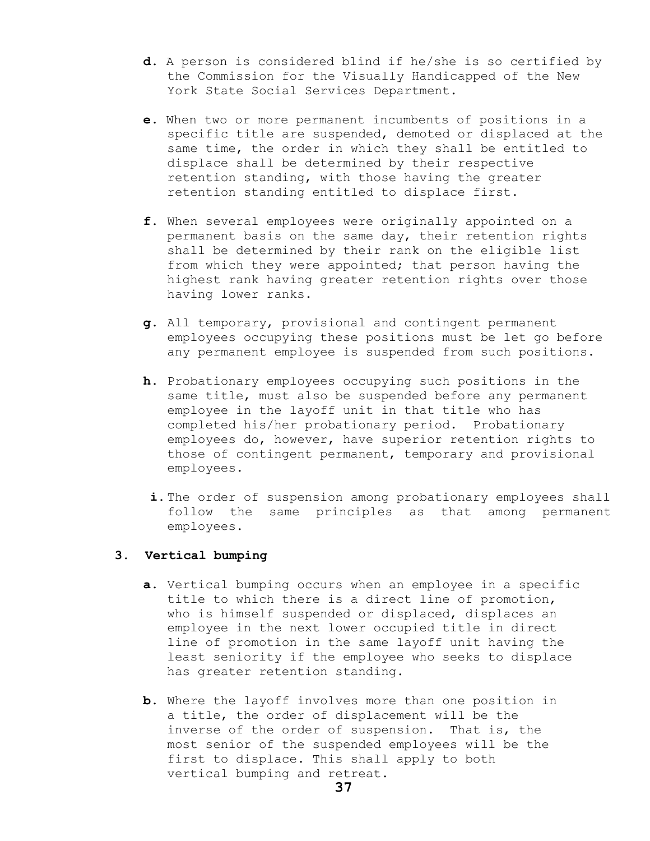- **d.** A person is considered blind if he/she is so certified by the Commission for the Visually Handicapped of the New York State Social Services Department.
- **e.** When two or more permanent incumbents of positions in a specific title are suspended, demoted or displaced at the same time, the order in which they shall be entitled to displace shall be determined by their respective retention standing, with those having the greater retention standing entitled to displace first.
- **f.** When several employees were originally appointed on a permanent basis on the same day, their retention rights shall be determined by their rank on the eligible list from which they were appointed; that person having the highest rank having greater retention rights over those having lower ranks.
- **g.** All temporary, provisional and contingent permanent employees occupying these positions must be let go before any permanent employee is suspended from such positions.
- **h.** Probationary employees occupying such positions in the same title, must also be suspended before any permanent employee in the layoff unit in that title who has completed his/her probationary period. Probationary employees do, however, have superior retention rights to those of contingent permanent, temporary and provisional employees.
	- **i.**The order of suspension among probationary employees shall follow the same principles as that among permanent employees.

#### **3. Vertical bumping**

- **a.** Vertical bumping occurs when an employee in a specific title to which there is a direct line of promotion, who is himself suspended or displaced, displaces an employee in the next lower occupied title in direct line of promotion in the same layoff unit having the least seniority if the employee who seeks to displace has greater retention standing.
- **b.** Where the layoff involves more than one position in a title, the order of displacement will be the inverse of the order of suspension. That is, the most senior of the suspended employees will be the first to displace. This shall apply to both vertical bumping and retreat.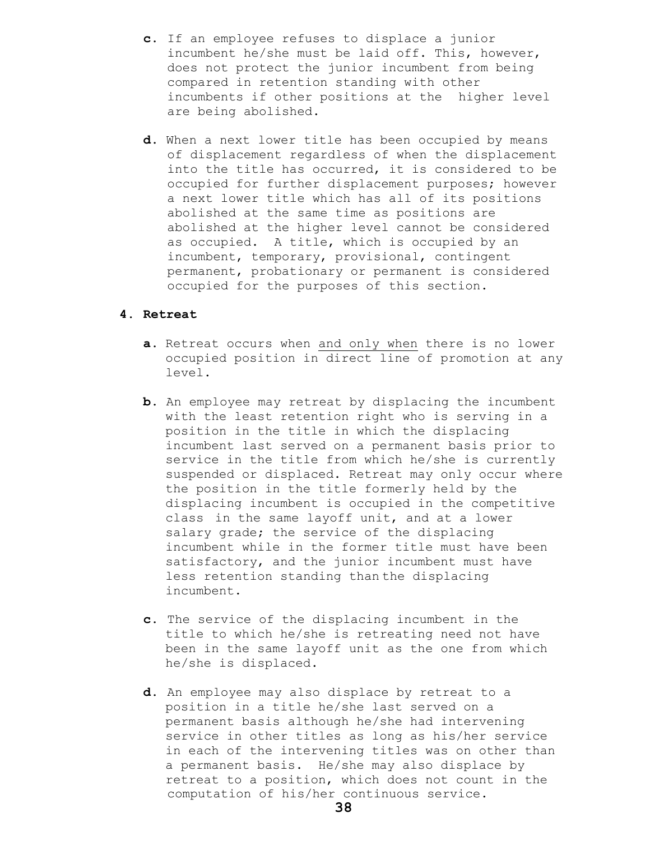- **c.** If an employee refuses to displace a junior incumbent he/she must be laid off. This, however, does not protect the junior incumbent from being compared in retention standing with other incumbents if other positions at the higher level are being abolished.
- **d.** When a next lower title has been occupied by means of displacement regardless of when the displacement into the title has occurred, it is considered to be occupied for further displacement purposes; however a next lower title which has all of its positions abolished at the same time as positions are abolished at the higher level cannot be considered as occupied. A title, which is occupied by an incumbent, temporary, provisional, contingent permanent, probationary or permanent is considered occupied for the purposes of this section.

## **4. Retreat**

- **a.** Retreat occurs when and only when there is no lower occupied position in direct line of promotion at any level.
- **b.** An employee may retreat by displacing the incumbent with the least retention right who is serving in a position in the title in which the displacing incumbent last served on a permanent basis prior to service in the title from which he/she is currently suspended or displaced. Retreat may only occur where the position in the title formerly held by the displacing incumbent is occupied in the competitive class in the same layoff unit, and at a lower salary grade; the service of the displacing incumbent while in the former title must have been satisfactory, and the junior incumbent must have less retention standing than the displacing incumbent.
- **c.** The service of the displacing incumbent in the title to which he/she is retreating need not have been in the same layoff unit as the one from which he/she is displaced.
- **d.** An employee may also displace by retreat to a position in a title he/she last served on a permanent basis although he/she had intervening service in other titles as long as his/her service in each of the intervening titles was on other than a permanent basis. He/she may also displace by retreat to a position, which does not count in the computation of his/her continuous service.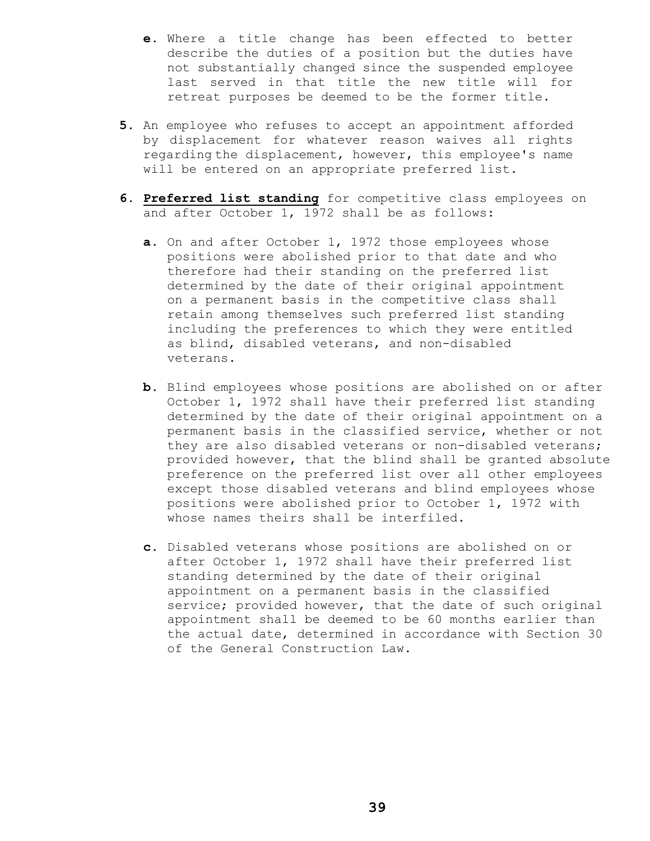- **e.** Where a title change has been effected to better describe the duties of a position but the duties have not substantially changed since the suspended employee last served in that title the new title will for retreat purposes be deemed to be the former title.
- **5.** An employee who refuses to accept an appointment afforded by displacement for whatever reason waives all rights regarding the displacement, however, this employee's name will be entered on an appropriate preferred list.
- **6. Preferred list standing** for competitive class employees on and after October 1, 1972 shall be as follows:
	- **a.** On and after October 1, 1972 those employees whose positions were abolished prior to that date and who therefore had their standing on the preferred list determined by the date of their original appointment on a permanent basis in the competitive class shall retain among themselves such preferred list standing including the preferences to which they were entitled as blind, disabled veterans, and non-disabled veterans.
	- **b.** Blind employees whose positions are abolished on or after October 1, 1972 shall have their preferred list standing determined by the date of their original appointment on a permanent basis in the classified service, whether or not they are also disabled veterans or non-disabled veterans; provided however, that the blind shall be granted absolute preference on the preferred list over all other employees except those disabled veterans and blind employees whose positions were abolished prior to October 1, 1972 with whose names theirs shall be interfiled.
	- **c.** Disabled veterans whose positions are abolished on or after October 1, 1972 shall have their preferred list standing determined by the date of their original appointment on a permanent basis in the classified service; provided however, that the date of such original appointment shall be deemed to be 60 months earlier than the actual date, determined in accordance with Section 30 of the General Construction Law.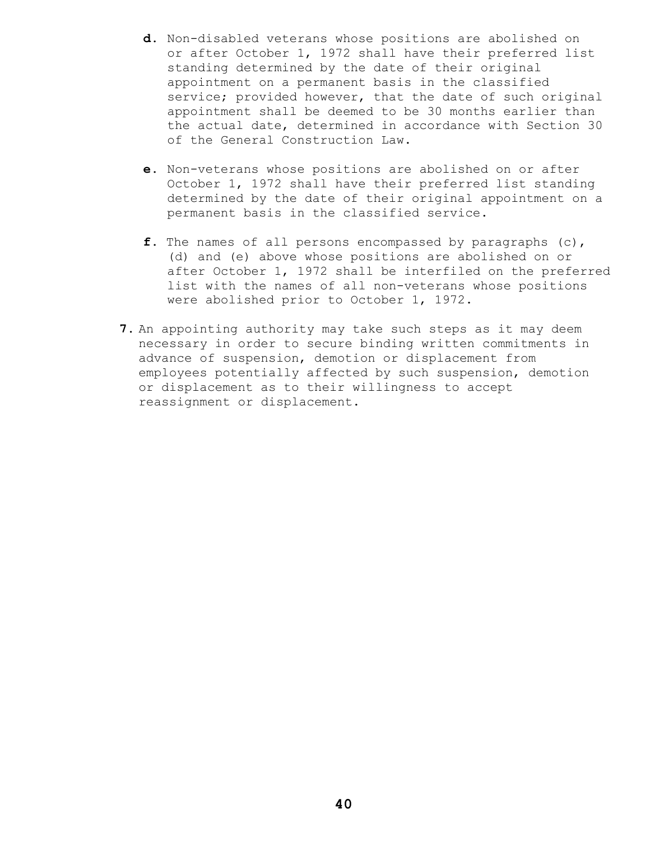- **d.** Non-disabled veterans whose positions are abolished on or after October 1, 1972 shall have their preferred list standing determined by the date of their original appointment on a permanent basis in the classified service; provided however, that the date of such original appointment shall be deemed to be 30 months earlier than the actual date, determined in accordance with Section 30 of the General Construction Law.
- **e.** Non-veterans whose positions are abolished on or after October 1, 1972 shall have their preferred list standing determined by the date of their original appointment on a permanent basis in the classified service.
- **f.** The names of all persons encompassed by paragraphs (c), (d) and (e) above whose positions are abolished on or after October 1, 1972 shall be interfiled on the preferred list with the names of all non-veterans whose positions were abolished prior to October 1, 1972.
- **7.** An appointing authority may take such steps as it may deem necessary in order to secure binding written commitments in advance of suspension, demotion or displacement from employees potentially affected by such suspension, demotion or displacement as to their willingness to accept reassignment or displacement.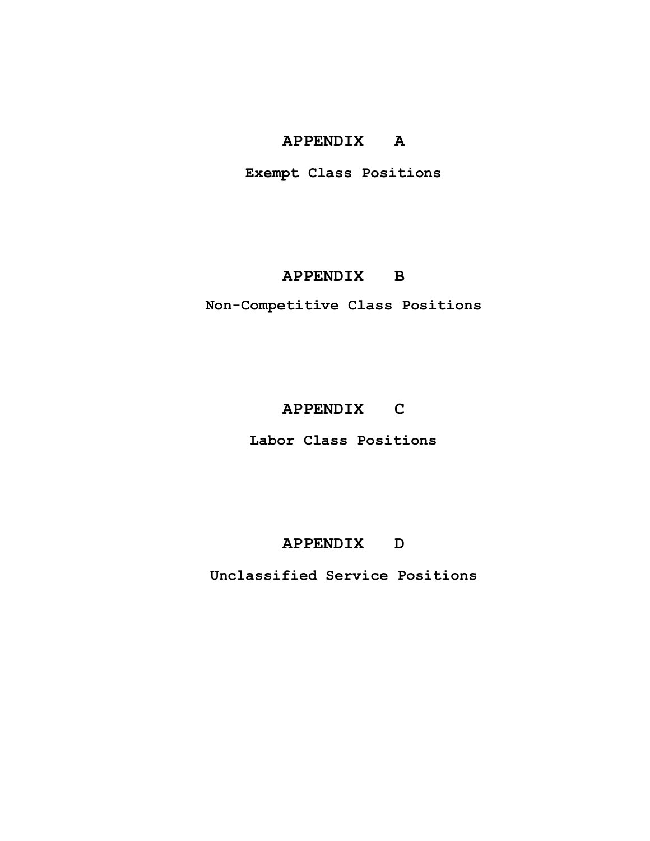## **APPENDIX A**

**Exempt Class Positions**

## **APPENDIX B**

**Non-Competitive Class Positions**

## **APPENDIX C**

**Labor Class Positions**

## **APPENDIX D**

**Unclassified Service Positions**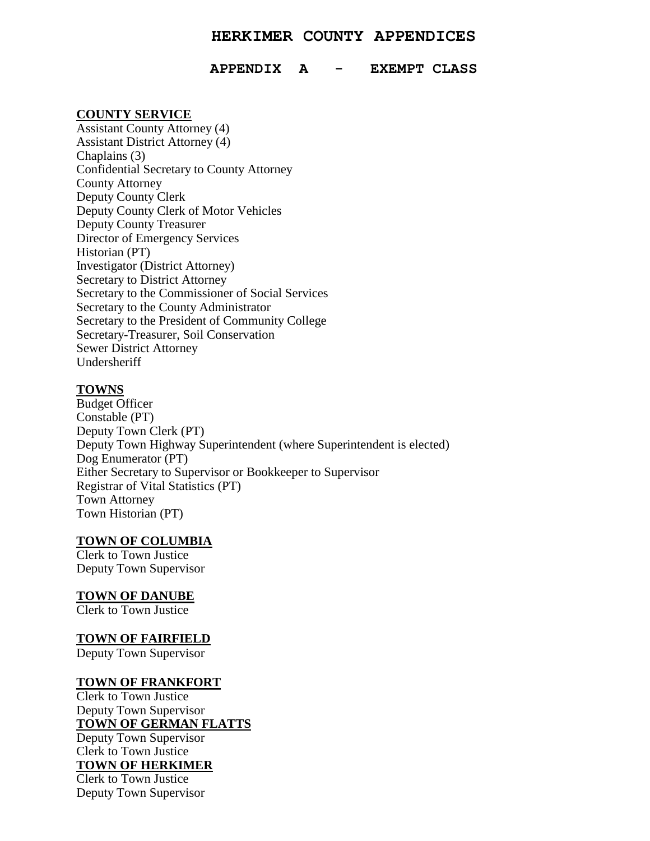## **HERKIMER COUNTY APPENDICES**

#### **APPENDIX A - EXEMPT CLASS**

#### **COUNTY SERVICE**

Assistant County Attorney (4) Assistant District Attorney (4) Chaplains (3) Confidential Secretary to County Attorney County Attorney Deputy County Clerk Deputy County Clerk of Motor Vehicles Deputy County Treasurer Director of Emergency Services Historian (PT) Investigator (District Attorney) Secretary to District Attorney Secretary to the Commissioner of Social Services Secretary to the County Administrator Secretary to the President of Community College Secretary-Treasurer, Soil Conservation Sewer District Attorney Undersheriff

#### **TOWNS**

Budget Officer Constable (PT) Deputy Town Clerk (PT) Deputy Town Highway Superintendent (where Superintendent is elected) Dog Enumerator (PT) Either Secretary to Supervisor or Bookkeeper to Supervisor Registrar of Vital Statistics (PT) Town Attorney Town Historian (PT)

### **TOWN OF COLUMBIA**

Clerk to Town Justice Deputy Town Supervisor

#### **TOWN OF DANUBE**

Clerk to Town Justice

#### **TOWN OF FAIRFIELD**

Deputy Town Supervisor

## **TOWN OF FRANKFORT**

Clerk to Town Justice Deputy Town Supervisor **TOWN OF GERMAN FLATTS** Deputy Town Supervisor Clerk to Town Justice

**TOWN OF HERKIMER** Clerk to Town Justice

Deputy Town Supervisor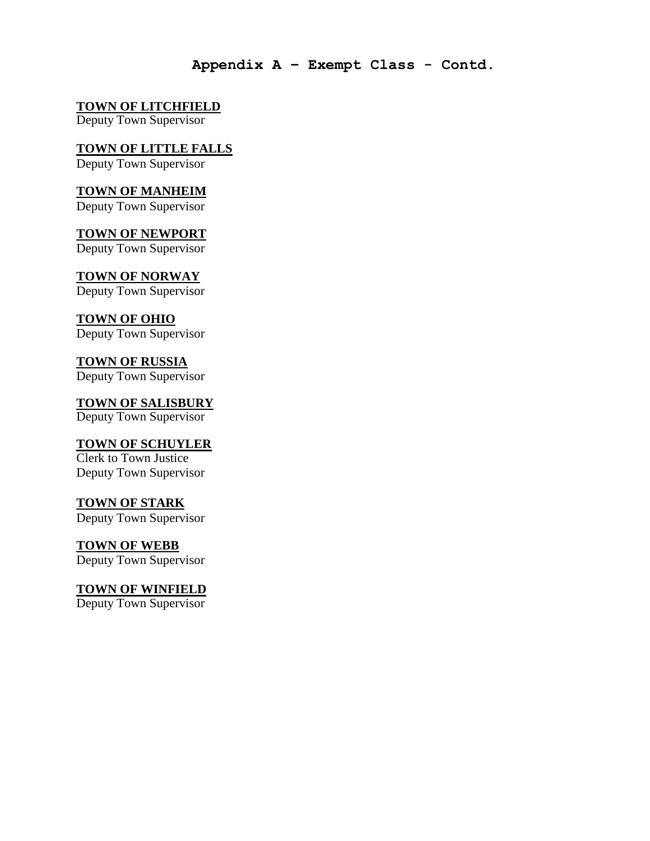## **Appendix A – Exempt Class - Contd.**

## **TOWN OF LITCHFIELD**

Deputy Town Supervisor

## **TOWN OF LITTLE FALLS**

Deputy Town Supervisor

## **TOWN OF MANHEIM**

Deputy Town Supervisor

## **TOWN OF NEWPORT**

Deputy Town Supervisor

## **TOWN OF NORWAY**

Deputy Town Supervisor

## **TOWN OF OHIO**

Deputy Town Supervisor

## **TOWN OF RUSSIA**

Deputy Town Supervisor

## **TOWN OF SALISBURY** Deputy Town Supervisor

## **TOWN OF SCHUYLER**

Clerk to Town Justice Deputy Town Supervisor

## **TOWN OF STARK**

Deputy Town Supervisor

## **TOWN OF WEBB**

Deputy Town Supervisor

## **TOWN OF WINFIELD**

Deputy Town Supervisor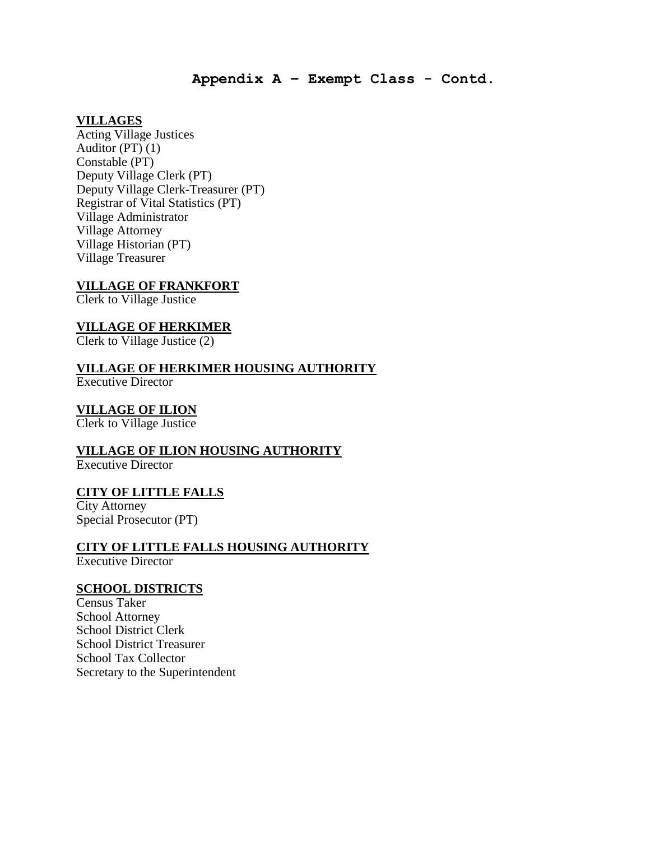**Appendix A – Exempt Class - Contd.**

## **VILLAGES**

Acting Village Justices Auditor  $(PT)(1)$ Constable (PT) Deputy Village Clerk (PT) Deputy Village Clerk-Treasurer (PT) Registrar of Vital Statistics (PT) Village Administrator Village Attorney Village Historian (PT) Village Treasurer

## **VILLAGE OF FRANKFORT**

Clerk to Village Justice

## **VILLAGE OF HERKIMER**

Clerk to Village Justice (2)

## **VILLAGE OF HERKIMER HOUSING AUTHORITY**

Executive Director

## **VILLAGE OF ILION**

Clerk to Village Justice

## **VILLAGE OF ILION HOUSING AUTHORITY**

Executive Director

## **CITY OF LITTLE FALLS**

City Attorney Special Prosecutor (PT)

## **CITY OF LITTLE FALLS HOUSING AUTHORITY**

Executive Director

## **SCHOOL DISTRICTS**

Census Taker School Attorney School District Clerk School District Treasurer School Tax Collector Secretary to the Superintendent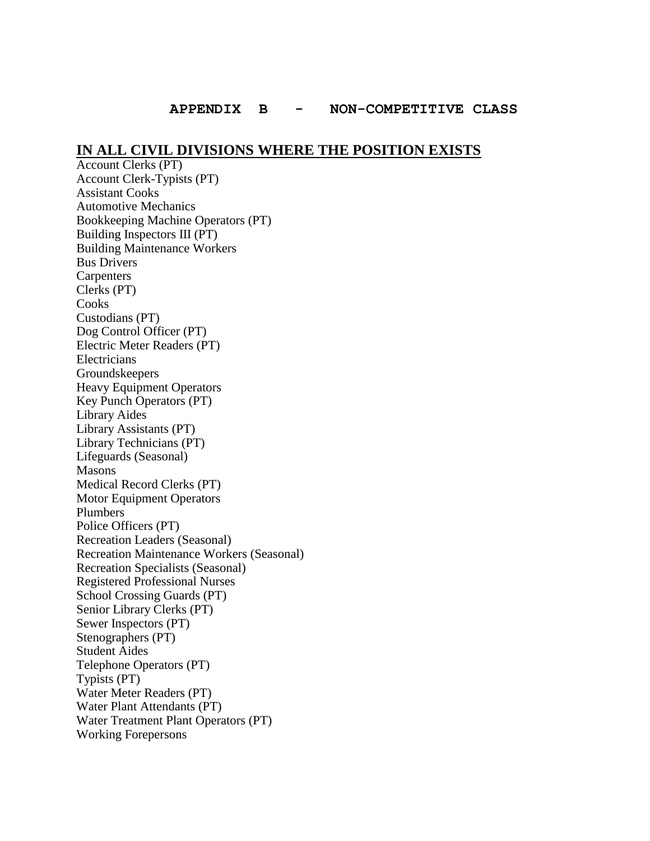## **IN ALL CIVIL DIVISIONS WHERE THE POSITION EXISTS**

Account Clerks (PT) Account Clerk-Typists (PT) Assistant Cooks Automotive Mechanics Bookkeeping Machine Operators (PT) Building Inspectors III (PT) Building Maintenance Workers Bus Drivers **Carpenters** Clerks (PT) Cooks Custodians (PT) Dog Control Officer (PT) Electric Meter Readers (PT) **Electricians** Groundskeepers Heavy Equipment Operators Key Punch Operators (PT) Library Aides Library Assistants (PT) Library Technicians (PT) Lifeguards (Seasonal) Masons Medical Record Clerks (PT) Motor Equipment Operators Plumbers Police Officers (PT) Recreation Leaders (Seasonal) Recreation Maintenance Workers (Seasonal) Recreation Specialists (Seasonal) Registered Professional Nurses School Crossing Guards (PT) Senior Library Clerks (PT) Sewer Inspectors (PT) Stenographers (PT) Student Aides Telephone Operators (PT) Typists (PT) Water Meter Readers (PT) Water Plant Attendants (PT) Water Treatment Plant Operators (PT) Working Forepersons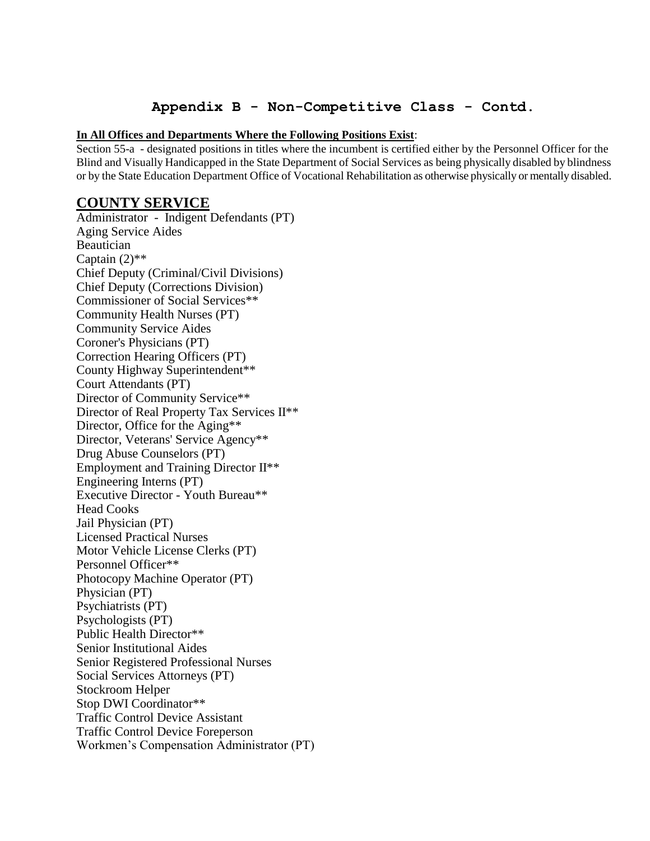## **Appendix B - Non-Competitive Class - Contd.**

#### **In All Offices and Departments Where the Following Positions Exist**:

Section 55-a - designated positions in titles where the incumbent is certified either by the Personnel Officer for the Blind and Visually Handicapped in the State Department of Social Services as being physically disabled by blindness or by the State Education Department Office of Vocational Rehabilitation as otherwise physically or mentally disabled.

## **COUNTY SERVICE**

Administrator - Indigent Defendants (PT) Aging Service Aides Beautician Captain  $(2)$ <sup>\*\*</sup> Chief Deputy (Criminal/Civil Divisions) Chief Deputy (Corrections Division) Commissioner of Social Services\*\* Community Health Nurses (PT) Community Service Aides Coroner's Physicians (PT) Correction Hearing Officers (PT) County Highway Superintendent\*\* Court Attendants (PT) Director of Community Service\*\* Director of Real Property Tax Services II\*\* Director, Office for the Aging\*\* Director, Veterans' Service Agency\*\* Drug Abuse Counselors (PT) Employment and Training Director II\*\* Engineering Interns (PT) Executive Director - Youth Bureau\*\* Head Cooks Jail Physician (PT) Licensed Practical Nurses Motor Vehicle License Clerks (PT) Personnel Officer\*\* Photocopy Machine Operator (PT) Physician (PT) Psychiatrists (PT) Psychologists (PT) Public Health Director\*\* Senior Institutional Aides Senior Registered Professional Nurses Social Services Attorneys (PT) Stockroom Helper Stop DWI Coordinator\*\* Traffic Control Device Assistant Traffic Control Device Foreperson Workmen's Compensation Administrator (PT)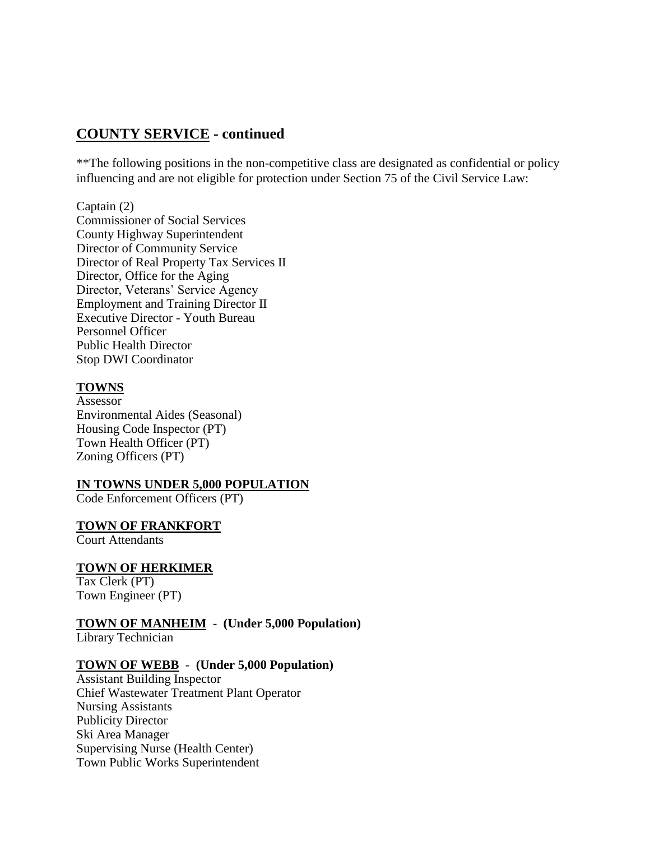## **COUNTY SERVICE - continued**

\*\*The following positions in the non-competitive class are designated as confidential or policy influencing and are not eligible for protection under Section 75 of the Civil Service Law:

Captain (2) Commissioner of Social Services County Highway Superintendent Director of Community Service Director of Real Property Tax Services II Director, Office for the Aging Director, Veterans' Service Agency Employment and Training Director II Executive Director - Youth Bureau Personnel Officer Public Health Director Stop DWI Coordinator

## **TOWNS**

Assessor Environmental Aides (Seasonal) Housing Code Inspector (PT) Town Health Officer (PT) Zoning Officers (PT)

## **IN TOWNS UNDER 5,000 POPULATION**

Code Enforcement Officers (PT)

#### **TOWN OF FRANKFORT**

Court Attendants

## **TOWN OF HERKIMER**

Tax Clerk (PT) Town Engineer (PT)

## **TOWN OF MANHEIM** - **(Under 5,000 Population)**

Library Technician

#### **TOWN OF WEBB** - **(Under 5,000 Population)**

Assistant Building Inspector Chief Wastewater Treatment Plant Operator Nursing Assistants Publicity Director Ski Area Manager Supervising Nurse (Health Center) Town Public Works Superintendent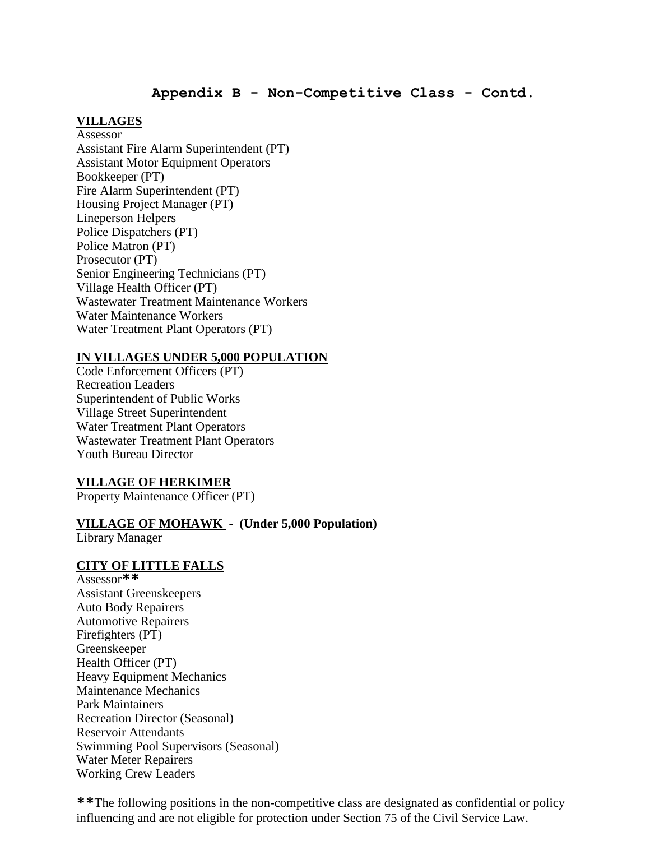## **Appendix B - Non-Competitive Class - Contd.**

## **VILLAGES**

Assessor Assistant Fire Alarm Superintendent (PT) Assistant Motor Equipment Operators Bookkeeper (PT) Fire Alarm Superintendent (PT) Housing Project Manager (PT) Lineperson Helpers Police Dispatchers (PT) Police Matron (PT) Prosecutor (PT) Senior Engineering Technicians (PT) Village Health Officer (PT) Wastewater Treatment Maintenance Workers Water Maintenance Workers Water Treatment Plant Operators (PT)

## **IN VILLAGES UNDER 5,000 POPULATION**

Code Enforcement Officers (PT) Recreation Leaders Superintendent of Public Works Village Street Superintendent Water Treatment Plant Operators Wastewater Treatment Plant Operators Youth Bureau Director

#### **VILLAGE OF HERKIMER**

Property Maintenance Officer (PT)

## **VILLAGE OF MOHAWK - (Under 5,000 Population)**

Library Manager

## **CITY OF LITTLE FALLS**

Assessor**\*\*** Assistant Greenskeepers Auto Body Repairers Automotive Repairers Firefighters (PT) Greenskeeper Health Officer (PT) Heavy Equipment Mechanics Maintenance Mechanics Park Maintainers Recreation Director (Seasonal) Reservoir Attendants Swimming Pool Supervisors (Seasonal) Water Meter Repairers Working Crew Leaders

**\*\***The following positions in the non-competitive class are designated as confidential or policy influencing and are not eligible for protection under Section 75 of the Civil Service Law.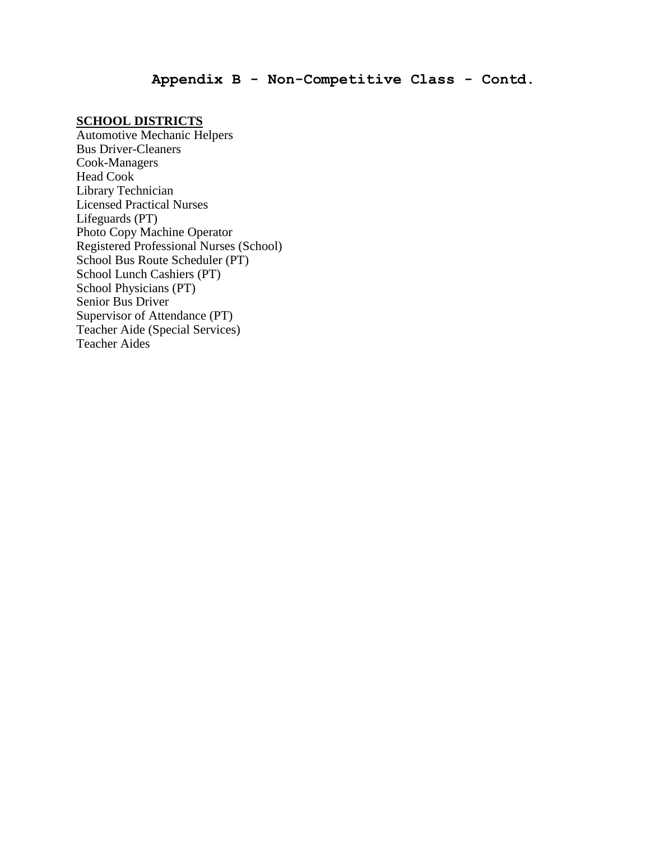## **Appendix B - Non-Competitive Class - Contd.**

## **SCHOOL DISTRICTS**

Automotive Mechanic Helpers Bus Driver-Cleaners Cook-Managers Head Cook Library Technician Licensed Practical Nurses Lifeguards (PT) Photo Copy Machine Operator Registered Professional Nurses (School) School Bus Route Scheduler (PT) School Lunch Cashiers (PT) School Physicians (PT) Senior Bus Driver Supervisor of Attendance (PT) Teacher Aide (Special Services) Teacher Aides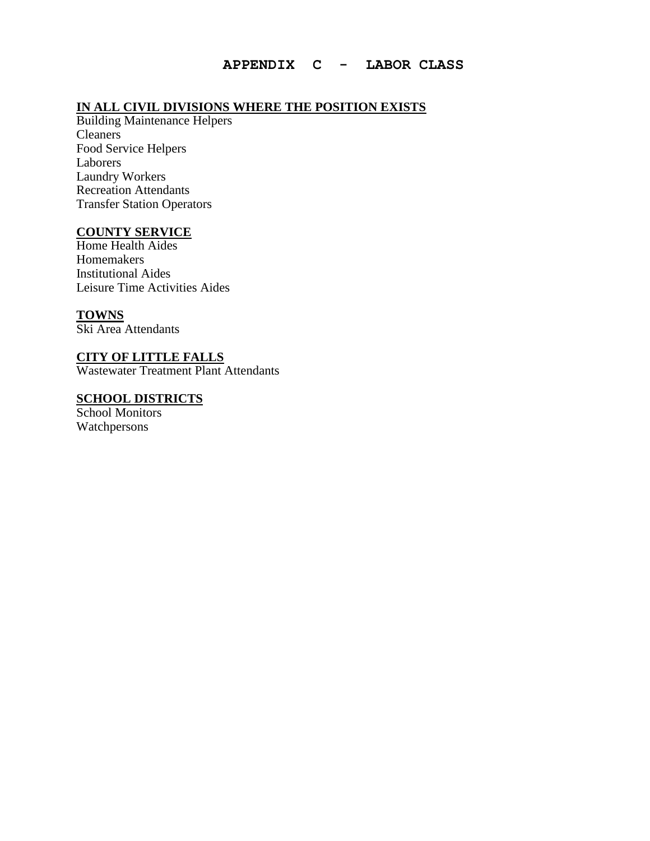## **IN ALL CIVIL DIVISIONS WHERE THE POSITION EXISTS**

Building Maintenance Helpers Cleaners Food Service Helpers Laborers Laundry Workers Recreation Attendants Transfer Station Operators

## **COUNTY SERVICE**

Home Health Aides Homemakers Institutional Aides Leisure Time Activities Aides

## **TOWNS**

Ski Area Attendants

## **CITY OF LITTLE FALLS**

Wastewater Treatment Plant Attendants

## **SCHOOL DISTRICTS**

School Monitors Watchpersons